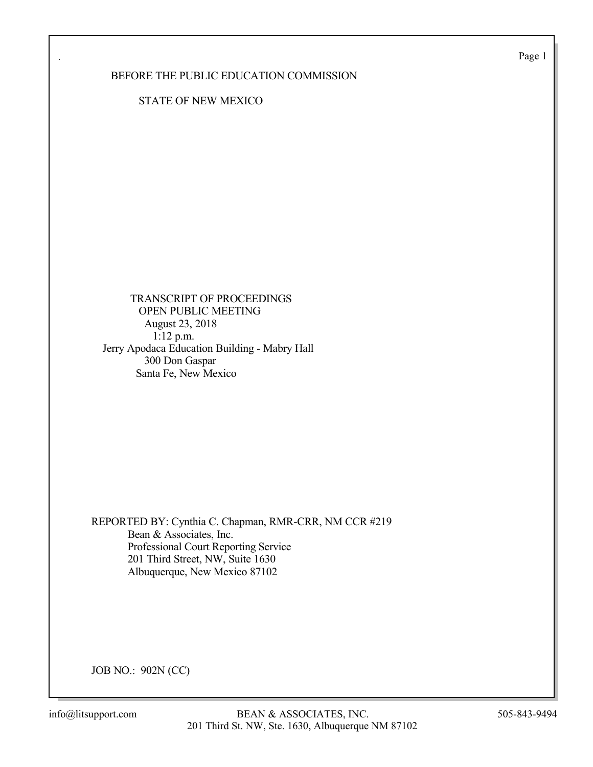Page 1

BEFORE THE PUBLIC EDUCATION COMMISSION

STATE OF NEW MEXICO

 TRANSCRIPT OF PROCEEDINGS OPEN PUBLIC MEETING August 23, 2018 1:12 p.m. Jerry Apodaca Education Building - Mabry Hall 300 Don Gaspar Santa Fe, New Mexico

REPORTED BY: Cynthia C. Chapman, RMR-CRR, NM CCR #219 Bean & Associates, Inc. Professional Court Reporting Service 201 Third Street, NW, Suite 1630 Albuquerque, New Mexico 87102

JOB NO.: 902N (CC)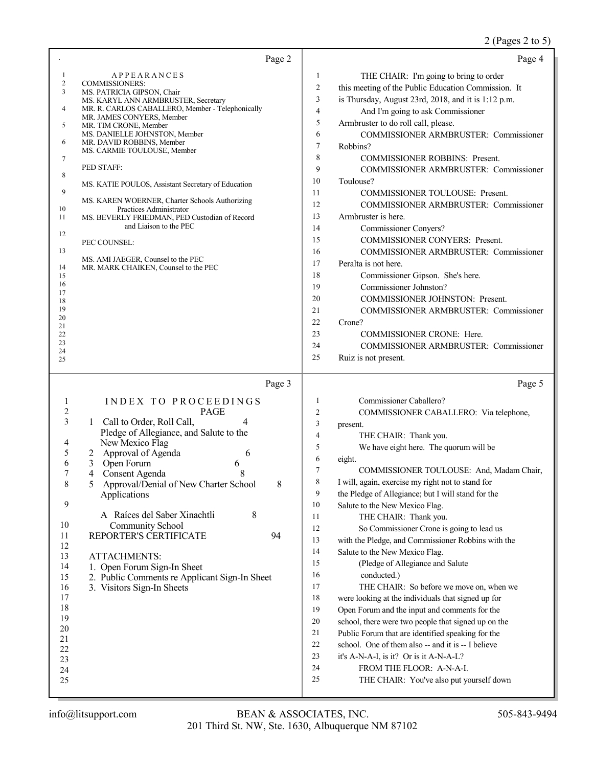|                                                                                                                                                                                                                                                                                                                                                                                                                                                                                                                                                                                                                                                                                                                                                                                                | Page 2       |                                                                                                                                                                          | Page 4                                                                                                                                                                                                                                                                                                                                                                                                                                                                                                                                                                                                                                                                                                                                                                                                                                                                                                                                                                                                                |
|------------------------------------------------------------------------------------------------------------------------------------------------------------------------------------------------------------------------------------------------------------------------------------------------------------------------------------------------------------------------------------------------------------------------------------------------------------------------------------------------------------------------------------------------------------------------------------------------------------------------------------------------------------------------------------------------------------------------------------------------------------------------------------------------|--------------|--------------------------------------------------------------------------------------------------------------------------------------------------------------------------|-----------------------------------------------------------------------------------------------------------------------------------------------------------------------------------------------------------------------------------------------------------------------------------------------------------------------------------------------------------------------------------------------------------------------------------------------------------------------------------------------------------------------------------------------------------------------------------------------------------------------------------------------------------------------------------------------------------------------------------------------------------------------------------------------------------------------------------------------------------------------------------------------------------------------------------------------------------------------------------------------------------------------|
| 1<br><b>APPEARANCES</b><br>2<br><b>COMMISSIONERS:</b><br>3<br>MS. PATRICIA GIPSON, Chair<br>MS. KARYL ANN ARMBRUSTER, Secretary<br>MR. R. CARLOS CABALLERO, Member - Telephonically<br>4<br>MR. JAMES CONYERS, Member<br>MR. TIM CRONE, Member<br>5<br>MS. DANIELLE JOHNSTON, Member<br>6<br>MR. DAVID ROBBINS, Member<br>MS. CARMIE TOULOUSE, Member<br>7<br>PED STAFF:<br>8<br>MS. KATIE POULOS, Assistant Secretary of Education<br>9<br>MS. KAREN WOERNER, Charter Schools Authorizing<br>10<br>Practices Administrator<br>MS. BEVERLY FRIEDMAN, PED Custodian of Record<br>11<br>and Liaison to the PEC<br>12<br>PEC COUNSEL:<br>13<br>MS. AMI JAEGER, Counsel to the PEC<br>14<br>MR. MARK CHAIKEN, Counsel to the PEC<br>15<br>16<br>17<br>18<br>19<br>20<br>21<br>22<br>23<br>24<br>25 |              | 1<br>$\overline{c}$<br>3<br>$\overline{4}$<br>5<br>6<br>$\tau$<br>8<br>9<br>10<br>11<br>12<br>13<br>14<br>15<br>16<br>17<br>18<br>19<br>20<br>21<br>22<br>23<br>24<br>25 | THE CHAIR: I'm going to bring to order<br>this meeting of the Public Education Commission. It<br>is Thursday, August 23rd, 2018, and it is 1:12 p.m.<br>And I'm going to ask Commissioner<br>Armbruster to do roll call, please.<br>COMMISSIONER ARMBRUSTER: Commissioner<br>Robbins?<br><b>COMMISSIONER ROBBINS: Present.</b><br>COMMISSIONER ARMBRUSTER: Commissioner<br>Toulouse?<br>COMMISSIONER TOULOUSE: Present.<br>COMMISSIONER ARMBRUSTER: Commissioner<br>Armbruster is here.<br>Commissioner Conyers?<br>COMMISSIONER CONYERS: Present.<br>COMMISSIONER ARMBRUSTER: Commissioner<br>Peralta is not here.<br>Commissioner Gipson. She's here.<br>Commissioner Johnston?<br><b>COMMISSIONER JOHNSTON: Present.</b><br>COMMISSIONER ARMBRUSTER: Commissioner<br>Crone?<br>COMMISSIONER CRONE: Here.<br>COMMISSIONER ARMBRUSTER: Commissioner<br>Ruiz is not present.                                                                                                                                          |
| INDEX TO PROCEEDINGS<br>1<br>2<br><b>PAGE</b><br>3<br>Call to Order, Roll Call,<br>4<br>1<br>Pledge of Allegiance, and Salute to the<br>New Mexico Flag<br>4<br>5<br>Approval of Agenda<br>6<br>2<br>6<br>Open Forum<br>3<br>6<br>7<br>4<br>Consent Agenda<br>8<br>Approval/Denial of New Charter School<br>5<br>Applications<br>9<br>$8\,$<br>A Raíces del Saber Xinachtli<br>10<br>Community School<br>REPORTER'S CERTIFICATE<br>11<br>12<br>13<br><b>ATTACHMENTS:</b><br>14<br>1. Open Forum Sign-In Sheet<br>15<br>2. Public Comments re Applicant Sign-In Sheet<br>16<br>3. Visitors Sign-In Sheets<br>17<br>18<br>19<br>20<br>21<br>22<br>23<br>24<br>25                                                                                                                                 | Page 3<br>94 | 1<br>2<br>3<br>4<br>5<br>6<br>7<br>8<br>9<br>10<br>11<br>12<br>13<br>14<br>15<br>16<br>17<br>18<br>19<br>20<br>21<br>22<br>23<br>24<br>25                                | Page 5<br>Commissioner Caballero?<br>COMMISSIONER CABALLERO: Via telephone,<br>present.<br>THE CHAIR: Thank you.<br>We have eight here. The quorum will be<br>eight.<br>COMMISSIONER TOULOUSE: And, Madam Chair,<br>I will, again, exercise my right not to stand for<br>the Pledge of Allegiance; but I will stand for the<br>Salute to the New Mexico Flag.<br>THE CHAIR: Thank you.<br>So Commissioner Crone is going to lead us<br>with the Pledge, and Commissioner Robbins with the<br>Salute to the New Mexico Flag.<br>(Pledge of Allegiance and Salute<br>conducted.)<br>THE CHAIR: So before we move on, when we<br>were looking at the individuals that signed up for<br>Open Forum and the input and comments for the<br>school, there were two people that signed up on the<br>Public Forum that are identified speaking for the<br>school. One of them also -- and it is -- I believe<br>it's A-N-A-I, is it? Or is it A-N-A-L?<br>FROM THE FLOOR: A-N-A-I.<br>THE CHAIR: You've also put yourself down |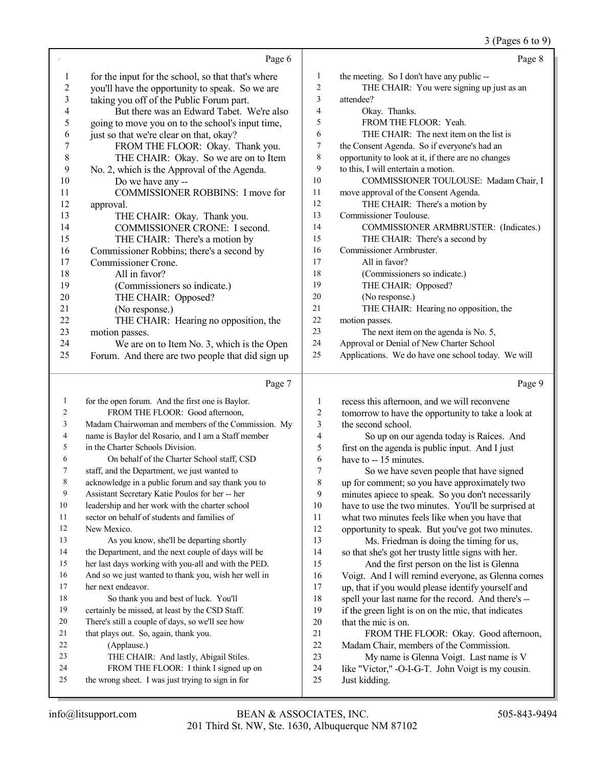#### 3 (Pages 6 to 9)

|                |                                                    |                | $\sim$ $\sim$ $\sim$ $\sim$ $\sim$ $\sim$          |
|----------------|----------------------------------------------------|----------------|----------------------------------------------------|
|                | Page 6                                             |                | Page 8                                             |
| 1              | for the input for the school, so that that's where | 1              | the meeting. So I don't have any public --         |
| $\overline{c}$ | you'll have the opportunity to speak. So we are    | $\overline{2}$ | THE CHAIR: You were signing up just as an          |
| 3              | taking you off of the Public Forum part.           | 3              | attendee?                                          |
| 4              | But there was an Edward Tabet. We're also          | 4              | Okay. Thanks.                                      |
| 5              | going to move you on to the school's input time,   | 5              | FROM THE FLOOR: Yeah.                              |
| 6              | just so that we're clear on that, okay?            | 6              | THE CHAIR: The next item on the list is            |
| 7              | FROM THE FLOOR: Okay. Thank you.                   | 7              | the Consent Agenda. So if everyone's had an        |
| $8\,$          | THE CHAIR: Okay. So we are on to Item              | 8              | opportunity to look at it, if there are no changes |
| 9              | No. 2, which is the Approval of the Agenda.        | 9              | to this, I will entertain a motion.                |
| 10             | Do we have any --                                  | 10             | COMMISSIONER TOULOUSE: Madam Chair, I              |
| 11             | COMMISSIONER ROBBINS: I move for                   | 11             | move approval of the Consent Agenda.               |
| 12             | approval.                                          | 12             | THE CHAIR: There's a motion by                     |
| 13             | THE CHAIR: Okay. Thank you.                        | 13             | Commissioner Toulouse.                             |
| 14             | COMMISSIONER CRONE: I second.                      | 14             | COMMISSIONER ARMBRUSTER: (Indicates.)              |
| 15             | THE CHAIR: There's a motion by                     | 15             | THE CHAIR: There's a second by                     |
| 16             | Commissioner Robbins; there's a second by          | 16             | Commissioner Armbruster.                           |
| 17             | Commissioner Crone.                                | 17             | All in favor?                                      |
| 18             | All in favor?                                      | 18             | (Commissioners so indicate.)                       |
| 19             | (Commissioners so indicate.)                       | 19             | THE CHAIR: Opposed?                                |
| 20             | THE CHAIR: Opposed?                                | 20             | (No response.)                                     |
| 21             | (No response.)                                     | 21             | THE CHAIR: Hearing no opposition, the              |
| 22             | THE CHAIR: Hearing no opposition, the              | 22             | motion passes.                                     |
| 23             | motion passes.                                     | 23             | The next item on the agenda is No. 5,              |
| 24             | We are on to Item No. 3, which is the Open         | 24             | Approval or Denial of New Charter School           |
| 25             | Forum. And there are two people that did sign up   | 25             | Applications. We do have one school today. We will |
|                |                                                    |                |                                                    |
|                |                                                    |                |                                                    |

# Page 7

| 1  | for the open forum. And the first one is Baylor.     | 1      | recess this afternoon, and we will reconvene        |
|----|------------------------------------------------------|--------|-----------------------------------------------------|
| 2  | FROM THE FLOOR: Good afternoon.                      | 2      | tomorrow to have the opportunity to take a look at  |
| 3  | Madam Chairwoman and members of the Commission. My   | 3      | the second school.                                  |
| 4  | name is Baylor del Rosario, and I am a Staff member  | 4      | So up on our agenda today is Raíces. And            |
| 5  | in the Charter Schools Division.                     | 5      | first on the agenda is public input. And I just     |
| 6  | On behalf of the Charter School staff, CSD           | 6      | have to -- 15 minutes.                              |
| 7  | staff, and the Department, we just wanted to         | $\tau$ | So we have seven people that have signed            |
| 8  | acknowledge in a public forum and say thank you to   | 8      | up for comment; so you have approximately two       |
| 9  | Assistant Secretary Katie Poulos for her -- her      | 9      | minutes apiece to speak. So you don't necessarily   |
| 10 | leadership and her work with the charter school      | 10     | have to use the two minutes. You'll be surprised at |
| 11 | sector on behalf of students and families of         | 11     | what two minutes feels like when you have that      |
| 12 | New Mexico.                                          | 12     | opportunity to speak. But you've got two minutes.   |
| 13 | As you know, she'll be departing shortly             | 13     | Ms. Friedman is doing the timing for us,            |
| 14 | the Department, and the next couple of days will be  | 14     | so that she's got her trusty little signs with her. |
| 15 | her last days working with you-all and with the PED. | 15     | And the first person on the list is Glenna          |
| 16 | And so we just wanted to thank you, wish her well in | 16     | Voigt. And I will remind everyone, as Glenna comes  |
| 17 | her next endeavor.                                   | 17     | up, that if you would please identify yourself and  |
| 18 | So thank you and best of luck. You'll                | 18     | spell your last name for the record. And there's -- |
| 19 | certainly be missed, at least by the CSD Staff.      | 19     | if the green light is on on the mic, that indicates |
| 20 | There's still a couple of days, so we'll see how     | 20     | that the mic is on.                                 |
| 21 | that plays out. So, again, thank you.                | 21     | FROM THE FLOOR: Okay. Good afternoon,               |
| 22 | (Applause.)                                          | 22     | Madam Chair, members of the Commission.             |
| 23 | THE CHAIR: And lastly, Abigail Stiles.               | 23     | My name is Glenna Voigt. Last name is V             |
| 24 | FROM THE FLOOR: I think I signed up on               | 24     | like "Victor," -O-I-G-T. John Voigt is my cousin.   |
| 25 | the wrong sheet. I was just trying to sign in for    | 25     | Just kidding.                                       |
|    |                                                      |        |                                                     |

Page 9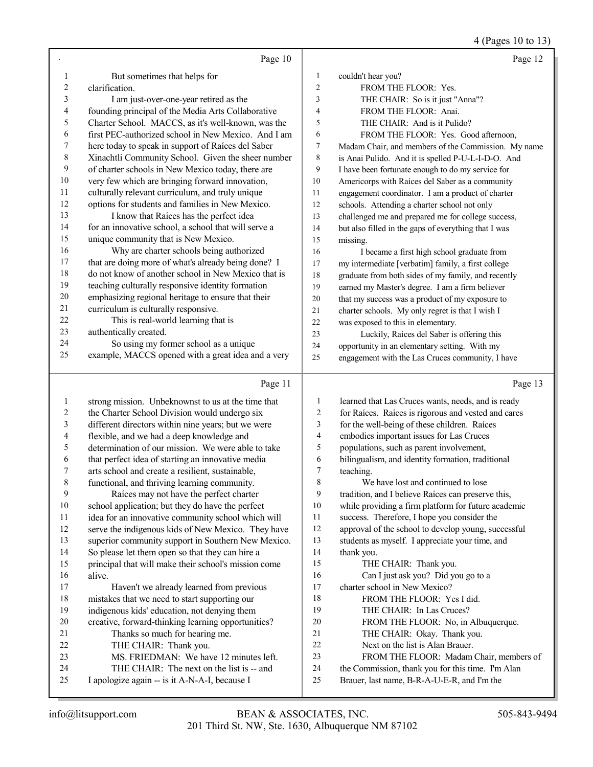# 4 (Pages 10 to 13)

|              | Page 10                                                                                         |                  | Page 12                                                                                          |
|--------------|-------------------------------------------------------------------------------------------------|------------------|--------------------------------------------------------------------------------------------------|
| 1            | But sometimes that helps for                                                                    | $\mathbf{1}$     | couldn't hear you?                                                                               |
| 2            | clarification.                                                                                  | $\overline{c}$   | FROM THE FLOOR: Yes.                                                                             |
| 3            | I am just-over-one-year retired as the                                                          | 3                | THE CHAIR: So is it just "Anna"?                                                                 |
| 4            | founding principal of the Media Arts Collaborative                                              | $\overline{4}$   | FROM THE FLOOR: Anai.                                                                            |
| 5            | Charter School. MACCS, as it's well-known, was the                                              | 5                | THE CHAIR: And is it Pulido?                                                                     |
| 6            | first PEC-authorized school in New Mexico. And I am                                             | 6                | FROM THE FLOOR: Yes. Good afternoon,                                                             |
| 7            | here today to speak in support of Raíces del Saber                                              | $\boldsymbol{7}$ | Madam Chair, and members of the Commission. My name                                              |
| 8            | Xinachtli Community School. Given the sheer number                                              | $\,$ 8 $\,$      | is Anai Pulido. And it is spelled P-U-L-I-D-O. And                                               |
| 9            | of charter schools in New Mexico today, there are                                               | 9                | I have been fortunate enough to do my service for                                                |
| 10           | very few which are bringing forward innovation,                                                 | 10               | Americorps with Raíces del Saber as a community                                                  |
| 11           | culturally relevant curriculum, and truly unique                                                | 11               | engagement coordinator. I am a product of charter                                                |
| 12           | options for students and families in New Mexico.                                                | 12               | schools. Attending a charter school not only                                                     |
| 13           | I know that Raíces has the perfect idea                                                         | 13               | challenged me and prepared me for college success,                                               |
| 14           | for an innovative school, a school that will serve a                                            | 14               | but also filled in the gaps of everything that I was                                             |
| 15           | unique community that is New Mexico.                                                            | 15               | missing.                                                                                         |
| 16           | Why are charter schools being authorized                                                        | 16               | I became a first high school graduate from                                                       |
| 17           | that are doing more of what's already being done? I                                             | 17               | my intermediate [verbatim] family, a first college                                               |
| 18           | do not know of another school in New Mexico that is                                             | 18               | graduate from both sides of my family, and recently                                              |
| 19           | teaching culturally responsive identity formation                                               | 19               | earned my Master's degree. I am a firm believer                                                  |
| $20\,$       | emphasizing regional heritage to ensure that their                                              | 20               | that my success was a product of my exposure to                                                  |
| 21           | curriculum is culturally responsive.                                                            | 21               | charter schools. My only regret is that I wish I                                                 |
| $22\,$       | This is real-world learning that is                                                             | 22               | was exposed to this in elementary.                                                               |
| 23           | authentically created.                                                                          | 23               | Luckily, Raíces del Saber is offering this                                                       |
| 24           | So using my former school as a unique                                                           | 24               | opportunity in an elementary setting. With my                                                    |
| 25           | example, MACCS opened with a great idea and a very                                              | 25               | engagement with the Las Cruces community, I have                                                 |
|              |                                                                                                 |                  |                                                                                                  |
|              | Page 11                                                                                         |                  | Page 13                                                                                          |
| $\mathbf{1}$ |                                                                                                 | 1                |                                                                                                  |
| 2            | strong mission. Unbeknownst to us at the time that                                              | 2                | learned that Las Cruces wants, needs, and is ready                                               |
| 3            | the Charter School Division would undergo six                                                   | 3                | for Raíces. Raíces is rigorous and vested and cares                                              |
| 4            | different directors within nine years; but we were<br>flexible, and we had a deep knowledge and | 4                | for the well-being of these children. Raíces<br>embodies important issues for Las Cruces         |
| 5            | determination of our mission. We were able to take                                              | 5                | populations, such as parent involvement,                                                         |
| 6            | that perfect idea of starting an innovative media                                               | 6                | bilingualism, and identity formation, traditional                                                |
| 7            | arts school and create a resilient, sustainable,                                                | 7                | teaching.                                                                                        |
| 8            | functional, and thriving learning community.                                                    | 8                | We have lost and continued to lose                                                               |
| 9            | Raíces may not have the perfect charter                                                         | 9                | tradition, and I believe Raíces can preserve this,                                               |
| 10           | school application; but they do have the perfect                                                | 10               | while providing a firm platform for future academic                                              |
| 11           | idea for an innovative community school which will                                              | 11               | success. Therefore, I hope you consider the                                                      |
| 12           | serve the indigenous kids of New Mexico. They have                                              | 12               | approval of the school to develop young, successful                                              |
| 13           | superior community support in Southern New Mexico.                                              | 13               | students as myself. I appreciate your time, and                                                  |
| 14           | So please let them open so that they can hire a                                                 | 14               | thank you.                                                                                       |
| 15           | principal that will make their school's mission come                                            | 15               | THE CHAIR: Thank you.                                                                            |
| 16           | alive.                                                                                          | 16               | Can I just ask you? Did you go to a                                                              |
| 17           | Haven't we already learned from previous                                                        | 17               | charter school in New Mexico?                                                                    |
| 18           | mistakes that we need to start supporting our                                                   | 18               | FROM THE FLOOR: Yes I did.                                                                       |
| 19           | indigenous kids' education, not denying them                                                    | 19               | THE CHAIR: In Las Cruces?                                                                        |
| 20           | creative, forward-thinking learning opportunities?                                              | $20\,$           | FROM THE FLOOR: No, in Albuquerque.                                                              |
| 21           | Thanks so much for hearing me.                                                                  | 21               | THE CHAIR: Okay. Thank you.                                                                      |
| 22           | THE CHAIR: Thank you.                                                                           | $22\,$           | Next on the list is Alan Brauer.                                                                 |
| 23           | MS. FRIEDMAN: We have 12 minutes left.                                                          | 23               | FROM THE FLOOR: Madam Chair, members of                                                          |
| 24<br>25     | THE CHAIR: The next on the list is -- and<br>I apologize again -- is it A-N-A-I, because I      | 24<br>25         | the Commission, thank you for this time. I'm Alan<br>Brauer, last name, B-R-A-U-E-R, and I'm the |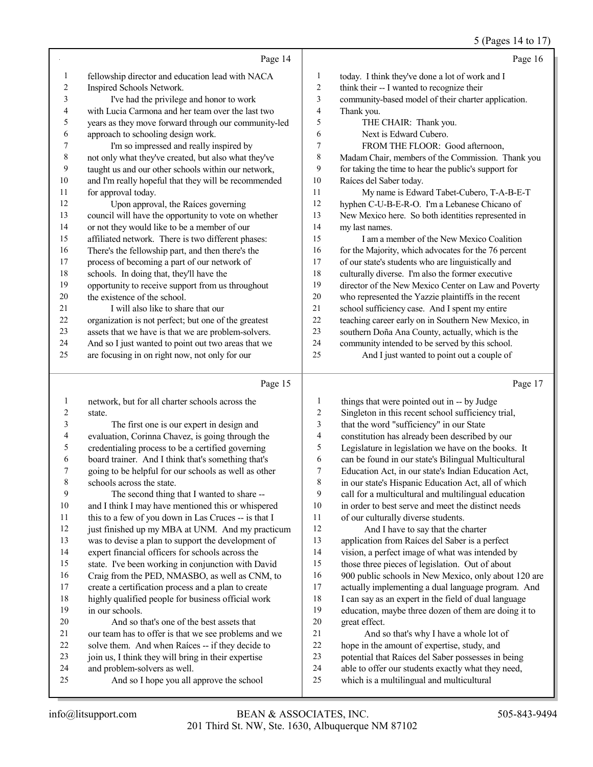5 (Pages 14 to 17)

|    |                                                      |                | $U(1 \text{ ug} \omega)$ 1 T to $11$                 |
|----|------------------------------------------------------|----------------|------------------------------------------------------|
|    | Page 14                                              |                | Page 16                                              |
| 1  | fellowship director and education lead with NACA     | 1              | today. I think they've done a lot of work and I      |
| 2  | Inspired Schools Network.                            | $\overline{c}$ | think their -- I wanted to recognize their           |
| 3  | I've had the privilege and honor to work             | 3              | community-based model of their charter application.  |
| 4  | with Lucia Carmona and her team over the last two    | 4              | Thank you.                                           |
| 5  | years as they move forward through our community-led | 5              | THE CHAIR: Thank you.                                |
| 6  | approach to schooling design work.                   | 6              | Next is Edward Cubero.                               |
| 7  | I'm so impressed and really inspired by              | 7              | FROM THE FLOOR: Good afternoon,                      |
| 8  | not only what they've created, but also what they've | 8              | Madam Chair, members of the Commission. Thank you    |
| 9  | taught us and our other schools within our network,  | 9              | for taking the time to hear the public's support for |
| 10 | and I'm really hopeful that they will be recommended | 10             | Raíces del Saber today.                              |
| 11 | for approval today.                                  | 11             | My name is Edward Tabet-Cubero, T-A-B-E-T            |
| 12 | Upon approval, the Raíces governing                  | 12             | hyphen C-U-B-E-R-O. I'm a Lebanese Chicano of        |
| 13 | council will have the opportunity to vote on whether | 13             | New Mexico here. So both identities represented in   |
| 14 | or not they would like to be a member of our         | 14             | my last names.                                       |
| 15 | affiliated network. There is two different phases:   | 15             | I am a member of the New Mexico Coalition            |
| 16 | There's the fellowship part, and then there's the    | 16             | for the Majority, which advocates for the 76 percent |
| 17 | process of becoming a part of our network of         | 17             | of our state's students who are linguistically and   |
| 18 | schools. In doing that, they'll have the             | 18             | culturally diverse. I'm also the former executive    |
| 19 | opportunity to receive support from us throughout    | 19             | director of the New Mexico Center on Law and Poverty |
| 20 | the existence of the school.                         | 20             | who represented the Yazzie plaintiffs in the recent  |
| 21 | I will also like to share that our                   | 21             | school sufficiency case. And I spent my entire       |
| 22 | organization is not perfect; but one of the greatest | 22             | teaching career early on in Southern New Mexico, in  |
| 23 | assets that we have is that we are problem-solvers.  | 23             | southern Doña Ana County, actually, which is the     |
| 24 | And so I just wanted to point out two areas that we  | 24             | community intended to be served by this school.      |
| 25 | are focusing in on right now, not only for our       | 25             | And I just wanted to point out a couple of           |
|    | Page 15                                              |                | Page 17                                              |
| 1  | network, but for all charter schools across the      | 1              | things that were pointed out in -- by Judge          |
|    |                                                      |                |                                                      |

| $\perp$ | network, but for all charter schools across the      | $\perp$ | things that were pointed out in -- by Judge          |
|---------|------------------------------------------------------|---------|------------------------------------------------------|
| 2       | state.                                               | 2       | Singleton in this recent school sufficiency trial,   |
| 3       | The first one is our expert in design and            | 3       | that the word "sufficiency" in our State             |
| 4       | evaluation, Corinna Chavez, is going through the     | 4       | constitution has already been described by our       |
| 5       | credentialing process to be a certified governing    | 5       | Legislature in legislation we have on the books. It  |
| 6       | board trainer. And I think that's something that's   | 6       | can be found in our state's Bilingual Multicultural  |
|         | going to be helpful for our schools as well as other | 7       | Education Act, in our state's Indian Education Act,  |
| 8       | schools across the state.                            | 8       | in our state's Hispanic Education Act, all of which  |
| 9       | The second thing that I wanted to share --           | 9       | call for a multicultural and multilingual education  |
| 10      | and I think I may have mentioned this or whispered   | 10      | in order to best serve and meet the distinct needs   |
| 11      | this to a few of you down in Las Cruces -- is that I | 11      | of our culturally diverse students.                  |
| 12      | just finished up my MBA at UNM. And my practicum     | 12      | And I have to say that the charter                   |
| 13      | was to devise a plan to support the development of   | 13      | application from Raíces del Saber is a perfect       |
| 14      | expert financial officers for schools across the     | 14      | vision, a perfect image of what was intended by      |
| 15      | state. I've been working in conjunction with David   | 15      | those three pieces of legislation. Out of about      |
| 16      | Craig from the PED, NMASBO, as well as CNM, to       | 16      | 900 public schools in New Mexico, only about 120 are |
| 17      | create a certification process and a plan to create  | 17      | actually implementing a dual language program. And   |
| 18      | highly qualified people for business official work   | 18      | I can say as an expert in the field of dual language |
| 19      | in our schools.                                      | 19      | education, maybe three dozen of them are doing it to |
| 20      | And so that's one of the best assets that            | 20      | great effect.                                        |
| 21      | our team has to offer is that we see problems and we | 21      | And so that's why I have a whole lot of              |
| 22      | solve them. And when Raíces -- if they decide to     | 22      | hope in the amount of expertise, study, and          |
| 23      | join us, I think they will bring in their expertise  | 23      | potential that Raíces del Saber possesses in being   |
| 24      | and problem-solvers as well.                         | 24      | able to offer our students exactly what they need,   |
| 25      | And so I hope you all approve the school             | 25      | which is a multilingual and multicultural            |
|         |                                                      |         |                                                      |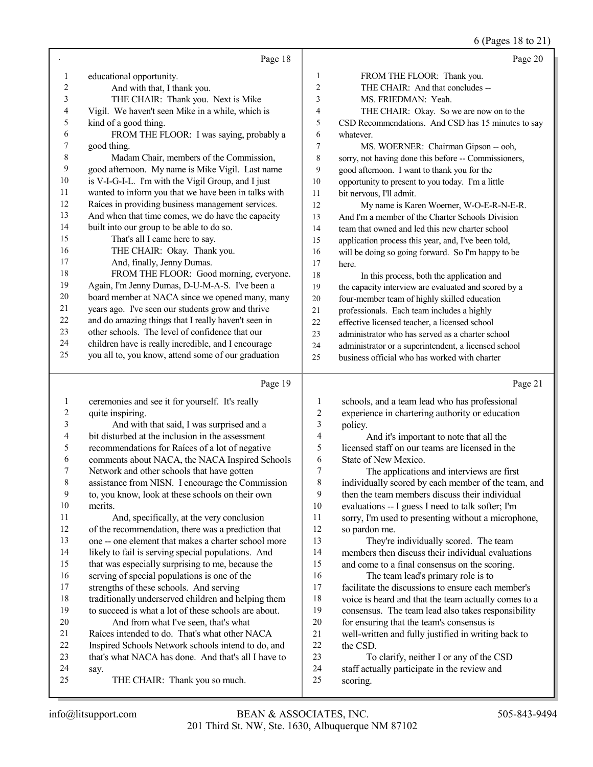6 (Pages 18 to 21)

|                | Page 18                                                       |                | Page 20                                                  |
|----------------|---------------------------------------------------------------|----------------|----------------------------------------------------------|
| $\mathbf{1}$   | educational opportunity.                                      | 1              | FROM THE FLOOR: Thank you.                               |
| 2              | And with that, I thank you.                                   | 2              | THE CHAIR: And that concludes --                         |
| 3              | THE CHAIR: Thank you. Next is Mike                            | 3              | MS. FRIEDMAN: Yeah.                                      |
| 4              | Vigil. We haven't seen Mike in a while, which is              | 4              | THE CHAIR: Okay. So we are now on to the                 |
| 5              | kind of a good thing.                                         | 5              | CSD Recommendations. And CSD has 15 minutes to say       |
| 6              | FROM THE FLOOR: I was saying, probably a                      | 6              | whatever.                                                |
| 7              | good thing.                                                   | 7              | MS. WOERNER: Chairman Gipson -- ooh,                     |
| $\,$ $\,$      | Madam Chair, members of the Commission,                       | 8              | sorry, not having done this before -- Commissioners,     |
| 9              | good afternoon. My name is Mike Vigil. Last name              | 9              | good afternoon. I want to thank you for the              |
| $10\,$         | is V-I-G-I-L. I'm with the Vigil Group, and I just            | 10             | opportunity to present to you today. I'm a little        |
| 11             | wanted to inform you that we have been in talks with          | 11             | bit nervous, I'll admit.                                 |
| 12             | Raíces in providing business management services.             | 12             | My name is Karen Woerner, W-O-E-R-N-E-R.                 |
| 13             | And when that time comes, we do have the capacity             | 13             | And I'm a member of the Charter Schools Division         |
| 14             | built into our group to be able to do so.                     | 14             | team that owned and led this new charter school          |
| 15             | That's all I came here to say.                                | 15             | application process this year, and, I've been told,      |
| 16             | THE CHAIR: Okay. Thank you.                                   | 16             | will be doing so going forward. So I'm happy to be       |
| 17             | And, finally, Jenny Dumas.                                    | 17             | here.                                                    |
| 18             | FROM THE FLOOR: Good morning, everyone.                       | 18             | In this process, both the application and                |
| 19             | Again, I'm Jenny Dumas, D-U-M-A-S. I've been a                | 19             | the capacity interview are evaluated and scored by a     |
| 20             | board member at NACA since we opened many, many               | 20             | four-member team of highly skilled education             |
| 21             | years ago. I've seen our students grow and thrive             | 21             | professionals. Each team includes a highly               |
| 22             | and do amazing things that I really haven't seen in           | 22             | effective licensed teacher, a licensed school            |
| 23             | other schools. The level of confidence that our               | 23             | administrator who has served as a charter school         |
| 24             | children have is really incredible, and I encourage           | 24             | administrator or a superintendent, a licensed school     |
| 25             | you all to, you know, attend some of our graduation           | 25             | business official who has worked with charter            |
|                |                                                               |                |                                                          |
|                | Page 19                                                       |                | Page 21                                                  |
| 1              |                                                               | 1              |                                                          |
| $\overline{c}$ | ceremonies and see it for yourself. It's really               | $\overline{2}$ | schools, and a team lead who has professional            |
| 3              | quite inspiring.<br>And with that said, I was surprised and a | 3              | experience in chartering authority or education          |
| 4              | bit disturbed at the inclusion in the assessment              | $\overline{4}$ | policy.<br>And it's important to note that all the       |
| 5              | recommendations for Raíces of a lot of negative               | 5              | licensed staff on our teams are licensed in the          |
| 6              | comments about NACA, the NACA Inspired Schools                | 6              | State of New Mexico.                                     |
| 7              | Network and other schools that have gotten                    | $\overline{7}$ | The applications and interviews are first                |
| 8              | assistance from NISN. I encourage the Commission              | $\,$ $\,$      | individually scored by each member of the team, and      |
| 9              | to, you know, look at these schools on their own              | 9              | then the team members discuss their individual           |
| $10\,$         | merits.                                                       | 10             | evaluations -- I guess I need to talk softer; I'm        |
| 11             | And, specifically, at the very conclusion                     | 11             | sorry, I'm used to presenting without a microphone,      |
| 12             | of the recommendation, there was a prediction that            | 12             | so pardon me.                                            |
| 13             | one -- one element that makes a charter school more           | 13             | They're individually scored. The team                    |
| 14             | likely to fail is serving special populations. And            | 14             | members then discuss their individual evaluations        |
| 15             | that was especially surprising to me, because the             | 15             | and come to a final consensus on the scoring.            |
| 16             | serving of special populations is one of the                  | 16             | The team lead's primary role is to                       |
| 17             | strengths of these schools. And serving                       | 17             | facilitate the discussions to ensure each member's       |
| $18\,$         | traditionally underserved children and helping them           | $18\,$         | voice is heard and that the team actually comes to a     |
| 19             | to succeed is what a lot of these schools are about.          | 19             | consensus. The team lead also takes responsibility       |
| 20             | And from what I've seen, that's what                          | 20             | for ensuring that the team's consensus is                |
| 21             | Raíces intended to do. That's what other NACA                 | 21             | well-written and fully justified in writing back to      |
| $22\,$         | Inspired Schools Network schools intend to do, and            | 22             | the CSD.                                                 |
| 23             | that's what NACA has done. And that's all I have to           | 23             | To clarify, neither I or any of the CSD                  |
| 24<br>25       | say.<br>THE CHAIR: Thank you so much.                         | 24<br>25       | staff actually participate in the review and<br>scoring. |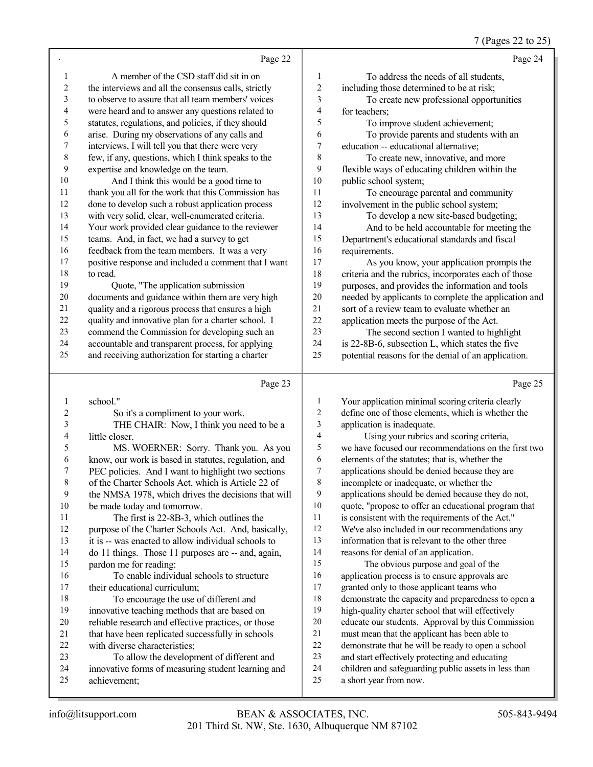### 7 (Pages 22 to 25)

|                          | Page 22                                                                                                 |                          | Page 24                                                                                    |
|--------------------------|---------------------------------------------------------------------------------------------------------|--------------------------|--------------------------------------------------------------------------------------------|
|                          |                                                                                                         |                          |                                                                                            |
| 1                        | A member of the CSD staff did sit in on                                                                 | 1                        | To address the needs of all students,                                                      |
| 2                        | the interviews and all the consensus calls, strictly                                                    | $\mathfrak{2}$           | including those determined to be at risk;                                                  |
| 3                        | to observe to assure that all team members' voices                                                      | $\mathfrak{Z}$           | To create new professional opportunities                                                   |
| $\overline{\mathcal{A}}$ | were heard and to answer any questions related to                                                       | $\overline{\mathbf{4}}$  | for teachers;                                                                              |
| 5                        | statutes, regulations, and policies, if they should                                                     | 5                        | To improve student achievement;                                                            |
| 6<br>7                   | arise. During my observations of any calls and                                                          | 6<br>7                   | To provide parents and students with an                                                    |
| 8                        | interviews, I will tell you that there were very<br>few, if any, questions, which I think speaks to the | $\,$ 8 $\,$              | education -- educational alternative;                                                      |
| 9                        | expertise and knowledge on the team.                                                                    | 9                        | To create new, innovative, and more<br>flexible ways of educating children within the      |
| 10                       | And I think this would be a good time to                                                                | 10                       | public school system;                                                                      |
| 11                       | thank you all for the work that this Commission has                                                     | 11                       | To encourage parental and community                                                        |
| 12                       | done to develop such a robust application process                                                       | 12                       | involvement in the public school system;                                                   |
| 13                       | with very solid, clear, well-enumerated criteria.                                                       | 13                       | To develop a new site-based budgeting;                                                     |
| 14                       | Your work provided clear guidance to the reviewer                                                       | 14                       | And to be held accountable for meeting the                                                 |
| 15                       | teams. And, in fact, we had a survey to get                                                             | 15                       | Department's educational standards and fiscal                                              |
| 16                       | feedback from the team members. It was a very                                                           | 16                       | requirements.                                                                              |
| 17                       | positive response and included a comment that I want                                                    | 17                       | As you know, your application prompts the                                                  |
| 18                       | to read.                                                                                                | $18\,$                   | criteria and the rubrics, incorporates each of those                                       |
| 19                       | Quote, "The application submission                                                                      | 19                       | purposes, and provides the information and tools                                           |
| 20                       | documents and guidance within them are very high                                                        | $20\,$                   | needed by applicants to complete the application and                                       |
| 21                       | quality and a rigorous process that ensures a high                                                      | 21                       | sort of a review team to evaluate whether an                                               |
| $22\,$                   | quality and innovative plan for a charter school. I                                                     | 22                       | application meets the purpose of the Act.                                                  |
| 23                       | commend the Commission for developing such an                                                           | 23                       | The second section I wanted to highlight                                                   |
| 24                       | accountable and transparent process, for applying                                                       | 24                       | is 22-8B-6, subsection L, which states the five                                            |
| 25                       | and receiving authorization for starting a charter                                                      | 25                       | potential reasons for the denial of an application.                                        |
|                          |                                                                                                         |                          |                                                                                            |
|                          |                                                                                                         |                          |                                                                                            |
|                          | Page 23                                                                                                 |                          | Page 25                                                                                    |
| 1                        | school."                                                                                                | 1                        | Your application minimal scoring criteria clearly                                          |
| 2                        | So it's a compliment to your work.                                                                      | 2                        | define one of those elements, which is whether the                                         |
| 3                        | THE CHAIR: Now, I think you need to be a                                                                | $\sqrt{3}$               | application is inadequate.                                                                 |
| 4                        | little closer.                                                                                          | $\overline{\mathcal{L}}$ | Using your rubrics and scoring criteria,                                                   |
| 5                        | MS. WOERNER: Sorry. Thank you. As you                                                                   | $\mathfrak s$            | we have focused our recommendations on the first two                                       |
| 6<br>7                   | know, our work is based in statutes, regulation, and                                                    | 6<br>$\boldsymbol{7}$    | elements of the statutes; that is, whether the                                             |
|                          | PEC policies. And I want to highlight two sections                                                      | 8                        | applications should be denied because they are<br>incomplete or inadequate, or whether the |
| 8<br>9                   | of the Charter Schools Act, which is Article 22 of                                                      | 9                        | applications should be denied because they do not,                                         |
| 10                       | the NMSA 1978, which drives the decisions that will<br>be made today and tomorrow.                      | 10                       | quote, "propose to offer an educational program that                                       |
| 11                       | The first is 22-8B-3, which outlines the                                                                | 11                       | is consistent with the requirements of the Act."                                           |
| 12                       | purpose of the Charter Schools Act. And, basically,                                                     | 12                       | We've also included in our recommendations any                                             |
| 13                       | it is -- was enacted to allow individual schools to                                                     | 13                       | information that is relevant to the other three                                            |
| 14                       | do 11 things. Those 11 purposes are -- and, again,                                                      | 14                       | reasons for denial of an application.                                                      |
| 15                       | pardon me for reading:                                                                                  | 15                       | The obvious purpose and goal of the                                                        |
| 16                       | To enable individual schools to structure                                                               | 16                       | application process is to ensure approvals are                                             |
| 17                       | their educational curriculum;                                                                           | 17                       | granted only to those applicant teams who                                                  |
| 18                       | To encourage the use of different and                                                                   | $18\,$                   | demonstrate the capacity and preparedness to open a                                        |
| 19                       | innovative teaching methods that are based on                                                           | 19                       | high-quality charter school that will effectively                                          |
| 20                       | reliable research and effective practices, or those                                                     | $20\,$                   | educate our students. Approval by this Commission                                          |
| 21                       | that have been replicated successfully in schools                                                       | $21\,$                   | must mean that the applicant has been able to                                              |
| 22                       | with diverse characteristics;                                                                           | 22                       | demonstrate that he will be ready to open a school                                         |
| 23                       | To allow the development of different and                                                               | 23                       | and start effectively protecting and educating                                             |
| 24<br>25                 | innovative forms of measuring student learning and<br>achievement;                                      | 24<br>25                 | children and safeguarding public assets in less than<br>a short year from now.             |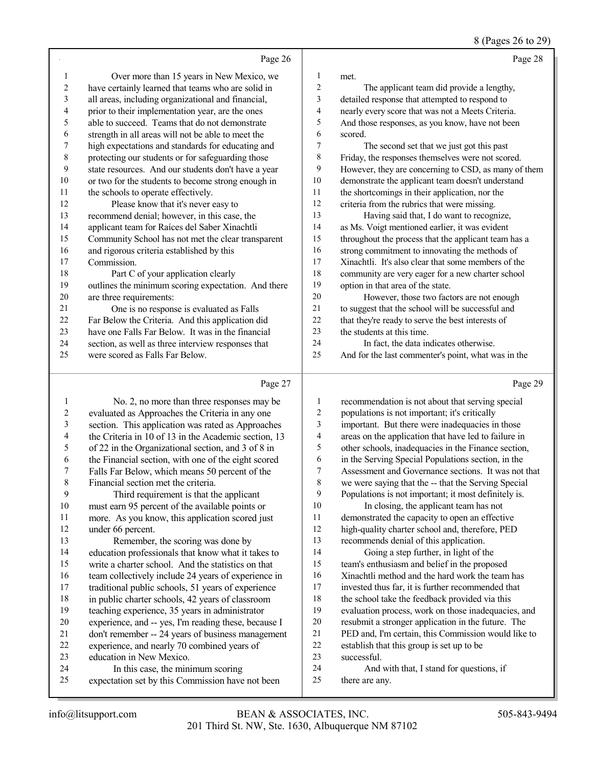8 (Pages 26 to 29)

|    | Page 26                                             |                | Page 28                                              |
|----|-----------------------------------------------------|----------------|------------------------------------------------------|
| 1  | Over more than 15 years in New Mexico, we           | 1              | met.                                                 |
| 2  | have certainly learned that teams who are solid in  | $\overline{c}$ | The applicant team did provide a lengthy,            |
| 3  | all areas, including organizational and financial,  | 3              | detailed response that attempted to respond to       |
| 4  | prior to their implementation year, are the ones    | 4              | nearly every score that was not a Meets Criteria.    |
| 5  | able to succeed. Teams that do not demonstrate      | 5              | And those responses, as you know, have not been      |
| 6  | strength in all areas will not be able to meet the  | 6              | scored.                                              |
| 7  | high expectations and standards for educating and   | 7              | The second set that we just got this past            |
| 8  | protecting our students or for safeguarding those   | 8              | Friday, the responses themselves were not scored.    |
| 9  | state resources. And our students don't have a year | 9              | However, they are concerning to CSD, as many of them |
| 10 | or two for the students to become strong enough in  | 10             | demonstrate the applicant team doesn't understand    |
| 11 | the schools to operate effectively.                 | 11             | the shortcomings in their application, nor the       |
| 12 | Please know that it's never easy to                 | 12             | criteria from the rubrics that were missing.         |
| 13 | recommend denial; however, in this case, the        | 13             | Having said that, I do want to recognize,            |
| 14 | applicant team for Raíces del Saber Xinachtli       | 14             | as Ms. Voigt mentioned earlier, it was evident       |
| 15 | Community School has not met the clear transparent  | 15             | throughout the process that the applicant team has a |
| 16 | and rigorous criteria established by this           | 16             | strong commitment to innovating the methods of       |
| 17 | Commission.                                         | 17             | Xinachtli. It's also clear that some members of the  |
| 18 | Part C of your application clearly                  | 18             | community are very eager for a new charter school    |
| 19 | outlines the minimum scoring expectation. And there | 19             | option in that area of the state.                    |
| 20 | are three requirements:                             | 20             | However, those two factors are not enough            |
| 21 | One is no response is evaluated as Falls            | 21             | to suggest that the school will be successful and    |
| 22 | Far Below the Criteria. And this application did    | 22             | that they're ready to serve the best interests of    |
| 23 | have one Falls Far Below. It was in the financial   | 23             | the students at this time.                           |
| 24 | section, as well as three interview responses that  | 24             | In fact, the data indicates otherwise.               |
| 25 | were scored as Falls Far Below.                     | 25             | And for the last commenter's point, what was in the  |
|    | Page 27                                             |                | Page 29                                              |

#### Page 27

|    | rage $27$                                            |    | rage 2.                                              |
|----|------------------------------------------------------|----|------------------------------------------------------|
| 1  | No. 2, no more than three responses may be           | 1  | recommendation is not about that serving special     |
| 2  | evaluated as Approaches the Criteria in any one      | 2  | populations is not important; it's critically        |
| 3  | section. This application was rated as Approaches    | 3  | important. But there were inadequacies in those      |
| 4  | the Criteria in 10 of 13 in the Academic section, 13 | 4  | areas on the application that have led to failure in |
| 5  | of 22 in the Organizational section, and 3 of 8 in   | 5  | other schools, inadequacies in the Finance section,  |
| 6  | the Financial section, with one of the eight scored  | 6  | in the Serving Special Populations section, in the   |
| 7  | Falls Far Below, which means 50 percent of the       | 7  | Assessment and Governance sections. It was not that  |
| 8  | Financial section met the criteria.                  | 8  | we were saying that the -- that the Serving Special  |
| 9  | Third requirement is that the applicant              | 9  | Populations is not important; it most definitely is. |
| 10 | must earn 95 percent of the available points or      | 10 | In closing, the applicant team has not               |
| 11 | more. As you know, this application scored just      | 11 | demonstrated the capacity to open an effective       |
| 12 | under 66 percent.                                    | 12 | high-quality charter school and, therefore, PED      |
| 13 | Remember, the scoring was done by                    | 13 | recommends denial of this application.               |
| 14 | education professionals that know what it takes to   | 14 | Going a step further, in light of the                |
| 15 | write a charter school. And the statistics on that   | 15 | team's enthusiasm and belief in the proposed         |
| 16 | team collectively include 24 years of experience in  | 16 | Xinachtli method and the hard work the team has      |
| 17 | traditional public schools, 51 years of experience   | 17 | invested thus far, it is further recommended that    |
| 18 | in public charter schools, 42 years of classroom     | 18 | the school take the feedback provided via this       |
| 19 | teaching experience, 35 years in administrator       | 19 | evaluation process, work on those inadequacies, and  |
| 20 | experience, and -- yes, I'm reading these, because I | 20 | resubmit a stronger application in the future. The   |
| 21 | don't remember -- 24 years of business management    | 21 | PED and, I'm certain, this Commission would like to  |
| 22 | experience, and nearly 70 combined years of          | 22 | establish that this group is set up to be            |
| 23 | education in New Mexico.                             | 23 | successful.                                          |
| 24 | In this case, the minimum scoring                    | 24 | And with that, I stand for questions, if             |
| 25 | expectation set by this Commission have not been     | 25 | there are any.                                       |
|    |                                                      |    |                                                      |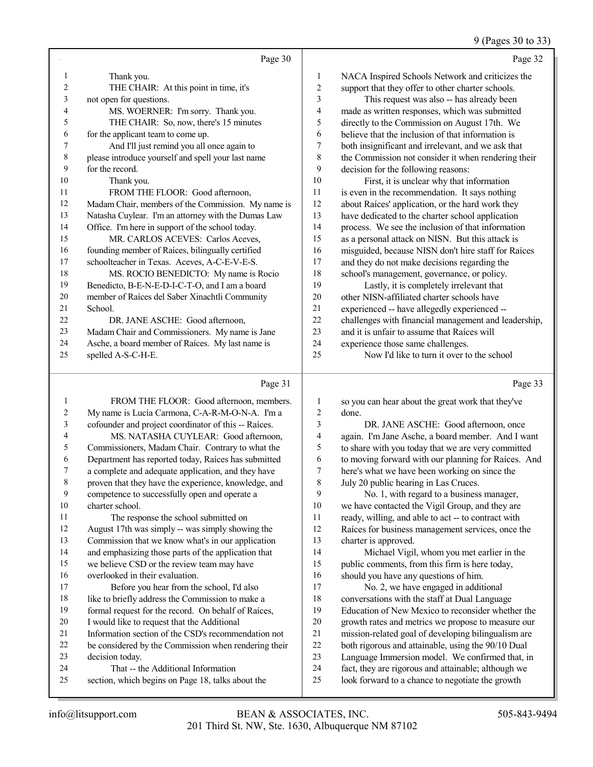9 (Pages 30 to 33)

|                | Page 30                                             |    | Page 32                                              |
|----------------|-----------------------------------------------------|----|------------------------------------------------------|
| 1              | Thank you.                                          | 1  | NACA Inspired Schools Network and criticizes the     |
| $\overline{c}$ | THE CHAIR: At this point in time, it's              | 2  | support that they offer to other charter schools.    |
| 3              | not open for questions.                             | 3  | This request was also -- has already been            |
| 4              | MS. WOERNER: I'm sorry. Thank you.                  | 4  | made as written responses, which was submitted       |
| 5              | THE CHAIR: So, now, there's 15 minutes              | 5  | directly to the Commission on August 17th. We        |
| 6              | for the applicant team to come up.                  | 6  | believe that the inclusion of that information is    |
| 7              | And I'll just remind you all once again to          | 7  | both insignificant and irrelevant, and we ask that   |
| 8              | please introduce yourself and spell your last name  | 8  | the Commission not consider it when rendering their  |
| 9              | for the record.                                     | 9  | decision for the following reasons:                  |
| 10             | Thank you.                                          | 10 | First, it is unclear why that information            |
| 11             | FROM THE FLOOR: Good afternoon,                     | 11 | is even in the recommendation. It says nothing       |
| 12             | Madam Chair, members of the Commission. My name is  | 12 | about Raíces' application, or the hard work they     |
| 13             | Natasha Cuylear. I'm an attorney with the Dumas Law | 13 | have dedicated to the charter school application     |
| 14             | Office. I'm here in support of the school today.    | 14 | process. We see the inclusion of that information    |
| 15             | MR. CARLOS ACEVES: Carlos Aceves.                   | 15 | as a personal attack on NISN. But this attack is     |
| 16             | founding member of Raíces, bilingually certified    | 16 | misguided, because NISN don't hire staff for Raíces  |
| 17             | schoolteacher in Texas. Aceves, A-C-E-V-E-S.        | 17 | and they do not make decisions regarding the         |
| 18             | MS. ROCIO BENEDICTO: My name is Rocio               | 18 | school's management, governance, or policy.          |
| 19             | Benedicto, B-E-N-E-D-I-C-T-O, and I am a board      | 19 | Lastly, it is completely irrelevant that             |
| 20             | member of Raíces del Saber Xinachtli Community      | 20 | other NISN-affiliated charter schools have           |
| 21             | School.                                             | 21 | experienced -- have allegedly experienced --         |
| 22             | DR. JANE ASCHE: Good afternoon,                     | 22 | challenges with financial management and leadership, |
| 23             | Madam Chair and Commissioners. My name is Jane      | 23 | and it is unfair to assume that Raices will          |
| 24             | Asche, a board member of Raíces. My last name is    | 24 | experience those same challenges.                    |
| 25             | spelled A-S-C-H-E.                                  | 25 | Now I'd like to turn it over to the school           |
|                | Page 31                                             |    | Page 33                                              |

#### Page |

|    | $I$ age $JI$                                         |    | r age be                                            |
|----|------------------------------------------------------|----|-----------------------------------------------------|
|    | FROM THE FLOOR: Good afternoon, members.             | 1  | so you can hear about the great work that they've   |
| 2  | My name is Lucía Carmona, C-A-R-M-O-N-A. I'm a       | 2  | done.                                               |
| 3  | cofounder and project coordinator of this -- Raíces. | 3  | DR. JANE ASCHE: Good afternoon, once                |
| 4  | MS. NATASHA CUYLEAR: Good afternoon,                 | 4  | again. I'm Jane Asche, a board member. And I want   |
| 5  | Commissioners, Madam Chair. Contrary to what the     | 5  | to share with you today that we are very committed  |
| 6  | Department has reported today, Raíces has submitted  | 6  | to moving forward with our planning for Raíces. And |
| 7  | a complete and adequate application, and they have   | 7  | here's what we have been working on since the       |
| 8  | proven that they have the experience, knowledge, and | 8  | July 20 public hearing in Las Cruces.               |
| 9  | competence to successfully open and operate a        | 9  | No. 1, with regard to a business manager,           |
| 10 | charter school.                                      | 10 | we have contacted the Vigil Group, and they are     |
| 11 | The response the school submitted on                 | 11 | ready, willing, and able to act -- to contract with |
| 12 | August 17th was simply -- was simply showing the     | 12 | Raíces for business management services, once the   |
| 13 | Commission that we know what's in our application    | 13 | charter is approved.                                |
| 14 | and emphasizing those parts of the application that  | 14 | Michael Vigil, whom you met earlier in the          |
| 15 | we believe CSD or the review team may have           | 15 | public comments, from this firm is here today,      |
| 16 | overlooked in their evaluation.                      | 16 | should you have any questions of him.               |
| 17 | Before you hear from the school, I'd also            | 17 | No. 2, we have engaged in additional                |
| 18 | like to briefly address the Commission to make a     | 18 | conversations with the staff at Dual Language       |
| 19 | formal request for the record. On behalf of Raíces,  | 19 | Education of New Mexico to reconsider whether the   |
| 20 | I would like to request that the Additional          | 20 | growth rates and metrics we propose to measure our  |
| 21 | Information section of the CSD's recommendation not  | 21 | mission-related goal of developing bilingualism are |
| 22 | be considered by the Commission when rendering their | 22 | both rigorous and attainable, using the 90/10 Dual  |
| 23 | decision today.                                      | 23 | Language Immersion model. We confirmed that, in     |
| 24 | That -- the Additional Information                   | 24 | fact, they are rigorous and attainable; although we |
| 25 | section, which begins on Page 18, talks about the    | 25 | look forward to a chance to negotiate the growth    |
|    |                                                      |    |                                                     |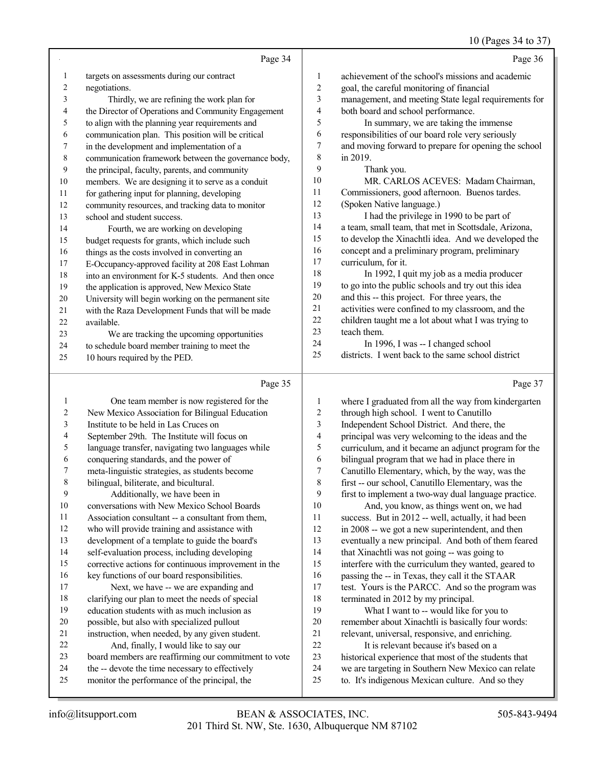#### 10 (Pages 34 to 37)

|                         |                                                      |                         | $10 \text{ (}1 \text{ u}$ gus 5 1 to 5 1             |
|-------------------------|------------------------------------------------------|-------------------------|------------------------------------------------------|
|                         | Page 34                                              |                         | Page 36                                              |
| 1                       | targets on assessments during our contract           | 1                       | achievement of the school's missions and academic    |
| $\boldsymbol{2}$        | negotiations.                                        | $\overline{\mathbf{c}}$ | goal, the careful monitoring of financial            |
| $\mathfrak{Z}$          | Thirdly, we are refining the work plan for           | 3                       | management, and meeting State legal requirements for |
| 4                       | the Director of Operations and Community Engagement  | 4                       | both board and school performance.                   |
| 5                       | to align with the planning year requirements and     | 5                       | In summary, we are taking the immense                |
| 6                       | communication plan. This position will be critical   | 6                       | responsibilities of our board role very seriously    |
| 7                       | in the development and implementation of a           | 7                       | and moving forward to prepare for opening the school |
| $\,$ $\,$               | communication framework between the governance body, | 8                       | in 2019.                                             |
| 9                       | the principal, faculty, parents, and community       | 9                       | Thank you.                                           |
| $10\,$                  | members. We are designing it to serve as a conduit   | 10                      | MR. CARLOS ACEVES: Madam Chairman,                   |
| 11                      | for gathering input for planning, developing         | 11                      | Commissioners, good afternoon. Buenos tardes.        |
| 12                      | community resources, and tracking data to monitor    | 12                      | (Spoken Native language.)                            |
| 13                      | school and student success.                          | 13                      | I had the privilege in 1990 to be part of            |
| 14                      | Fourth, we are working on developing                 | 14                      | a team, small team, that met in Scottsdale, Arizona, |
| 15                      | budget requests for grants, which include such       | 15                      | to develop the Xinachtli idea. And we developed the  |
| 16                      | things as the costs involved in converting an        | 16                      | concept and a preliminary program, preliminary       |
| $17\,$                  | E-Occupancy-approved facility at 208 East Lohman     | 17                      | curriculum, for it.                                  |
| $18\,$                  | into an environment for K-5 students. And then once  | 18                      | In 1992, I quit my job as a media producer           |
| 19                      | the application is approved, New Mexico State        | 19                      | to go into the public schools and try out this idea  |
| $20\,$                  | University will begin working on the permanent site  | $20\,$                  | and this -- this project. For three years, the       |
| $21\,$                  | with the Raza Development Funds that will be made    | 21                      | activities were confined to my classroom, and the    |
| 22                      | available.                                           | 22                      | children taught me a lot about what I was trying to  |
| 23                      | We are tracking the upcoming opportunities           | 23                      | teach them.                                          |
| 24                      | to schedule board member training to meet the        | 24                      | In 1996, I was -- I changed school                   |
| 25                      | 10 hours required by the PED.                        | 25                      | districts. I went back to the same school district   |
|                         |                                                      |                         |                                                      |
|                         | Page 35                                              |                         | Page 37                                              |
| 1                       | One team member is now registered for the            | $\mathbf{1}$            | where I graduated from all the way from kindergarten |
| $\overline{\mathbf{c}}$ | New Mexico Association for Bilingual Education       | $\overline{\mathbf{c}}$ | through high school. I went to Canutillo             |
| 3                       | Institute to be held in Las Cruces on                | 3                       | Independent School District. And there, the          |
| 4                       | September 29th. The Institute will focus on          | 4                       | principal was very welcoming to the ideas and the    |
| 5                       | language transfer, navigating two languages while    | 5                       | curriculum, and it became an adjunct program for the |
| 6                       | conquering standards, and the power of               | 6                       | bilingual program that we had in place there in      |
| 7                       | meta-linguistic strategies, as students become       | 7                       | Canutillo Elementary, which, by the way, was the     |
| $\,8\,$                 | bilingual, biliterate, and bicultural.               | 8                       | first -- our school, Canutillo Elementary, was the   |
| 9                       | Additionally, we have been in                        | 9                       | first to implement a two-way dual language practice. |
| $10\,$                  | conversations with New Mexico School Boards          | 10                      | And, you know, as things went on, we had             |
| 11                      | Association consultant -- a consultant from them,    | 11                      | success. But in 2012 -- well, actually, it had been  |
| 12                      | who will provide training and assistance with        | 12                      | in 2008 -- we got a new superintendent, and then     |
| 13                      | development of a template to guide the board's       | 13                      | eventually a new principal. And both of them feared  |
| 14                      | self-evaluation process, including developing        | 14                      | that Xinachtli was not going -- was going to         |
| 15                      | corrective actions for continuous improvement in the | 15                      | interfere with the curriculum they wanted, geared to |
| 16                      | key functions of our board responsibilities.         | 16                      | passing the -- in Texas, they call it the STAAR      |
| $17\,$                  | Next, we have -- we are expanding and                | 17                      | test. Yours is the PARCC. And so the program was     |
| 18                      | clarifying our plan to meet the needs of special     | 18                      | terminated in 2012 by my principal.                  |
| 19                      | education students with as much inclusion as         | 19                      | What I want to -- would like for you to              |
| $20\,$                  | possible, but also with specialized pullout          | $20\,$                  | remember about Xinachtli is basically four words:    |
| $21\,$                  | instruction, when needed, by any given student.      | 21                      | relevant, universal, responsive, and enriching.      |
| $22\,$                  | And, finally, I would like to say our                | $22\,$                  | It is relevant because it's based on a               |
| 23                      | board members are reaffirming our commitment to vote | 23                      | historical experience that most of the students that |

- And, finally, I would like to say our board members are reaffirming our commitment to vote
- the -- devote the time necessary to effectively
- monitor the performance of the principal, the

23 historical experience that most of the students that<br>24 we are targeting in Southern New Mexico can relat 24 we are targeting in Southern New Mexico can relate<br>25 to. It's indigenous Mexican culture. And so they to. It's indigenous Mexican culture. And so they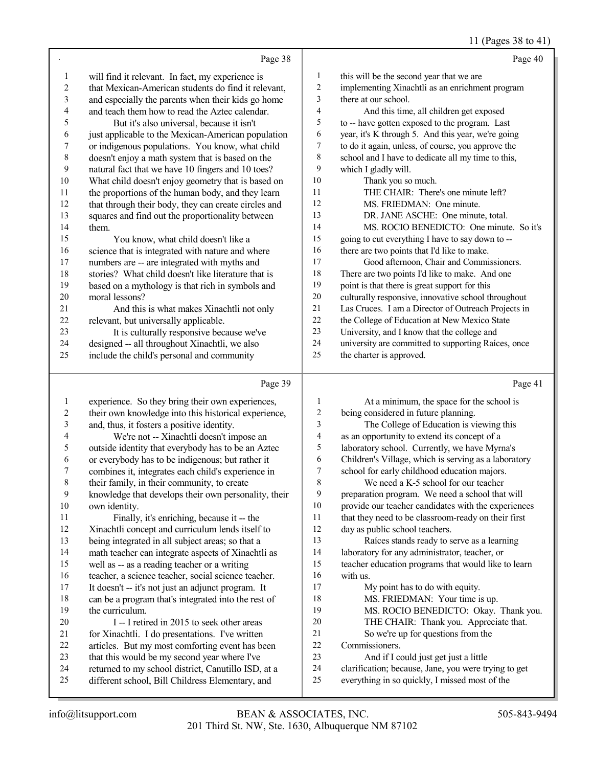# 11 (Pages 38 to 41)

|    | Page 38                                              |                | Page 40                                             |
|----|------------------------------------------------------|----------------|-----------------------------------------------------|
| 1  | will find it relevant. In fact, my experience is     | 1              | this will be the second year that we are            |
| 2  | that Mexican-American students do find it relevant,  | 2              | implementing Xinachtli as an enrichment program     |
| 3  | and especially the parents when their kids go home   | 3              | there at our school.                                |
| 4  | and teach them how to read the Aztec calendar.       | $\overline{4}$ | And this time, all children get exposed             |
| 5  | But it's also universal, because it isn't            | 5              | to -- have gotten exposed to the program. Last      |
| 6  | just applicable to the Mexican-American population   | 6              | year, it's K through 5. And this year, we're going  |
| 7  | or indigenous populations. You know, what child      | 7              | to do it again, unless, of course, you approve the  |
| 8  | doesn't enjoy a math system that is based on the     | 8              | school and I have to dedicate all my time to this,  |
| 9  | natural fact that we have 10 fingers and 10 toes?    | 9              | which I gladly will.                                |
| 10 | What child doesn't enjoy geometry that is based on   | 10             | Thank you so much.                                  |
| 11 | the proportions of the human body, and they learn    | 11             | THE CHAIR: There's one minute left?                 |
| 12 | that through their body, they can create circles and | 12             | MS. FRIEDMAN: One minute.                           |
| 13 | squares and find out the proportionality between     | 13             | DR. JANE ASCHE: One minute, total.                  |
| 14 | them.                                                | 14             | MS. ROCIO BENEDICTO: One minute. So it's            |
| 15 | You know, what child doesn't like a                  | 15             | going to cut everything I have to say down to --    |
| 16 | science that is integrated with nature and where     | 16             | there are two points that I'd like to make.         |
| 17 | numbers are -- are integrated with myths and         | 17             | Good afternoon, Chair and Commissioners.            |
| 18 | stories? What child doesn't like literature that is  | 18             | There are two points I'd like to make. And one      |
| 19 | based on a mythology is that rich in symbols and     | 19             | point is that there is great support for this       |
| 20 | moral lessons?                                       | 20             | culturally responsive, innovative school throughout |
| 21 | And this is what makes Xinachtli not only            | 21             | Las Cruces. I am a Director of Outreach Projects in |
| 22 | relevant, but universally applicable.                | 22             | the College of Education at New Mexico State        |
| 23 | It is culturally responsive because we've            | 23             | University, and I know that the college and         |
| 24 | designed -- all throughout Xinachtli, we also        | 24             | university are committed to supporting Raíces, once |
| 25 | include the child's personal and community           | 25             | the charter is approved.                            |
|    |                                                      |                |                                                     |
|    | Page 39                                              |                | Page 41                                             |

#### Page

|                | $1$ ago $J$                                          |                | $1 \text{ age}$                                      |
|----------------|------------------------------------------------------|----------------|------------------------------------------------------|
|                | experience. So they bring their own experiences,     |                | At a minimum, the space for the school is            |
| $\overline{c}$ | their own knowledge into this historical experience, | 2              | being considered in future planning.                 |
| 3              | and, thus, it fosters a positive identity.           | 3              | The College of Education is viewing this             |
| 4              | We're not -- Xinachtli doesn't impose an             | 4              | as an opportunity to extend its concept of a         |
| 5              | outside identity that everybody has to be an Aztec   | 5              | laboratory school. Currently, we have Myrna's        |
| 6              | or everybody has to be indigenous; but rather it     | 6              | Children's Village, which is serving as a laboratory |
| 7              | combines it, integrates each child's experience in   | $\overline{7}$ | school for early childhood education majors.         |
| $\,8\,$        | their family, in their community, to create          | 8              | We need a K-5 school for our teacher                 |
| 9              | knowledge that develops their own personality, their | 9              | preparation program. We need a school that will      |
| 10             | own identity.                                        | 10             | provide our teacher candidates with the experiences  |
| 11             | Finally, it's enriching, because it -- the           | 11             | that they need to be classroom-ready on their first  |
| 12             | Xinachtli concept and curriculum lends itself to     | 12             | day as public school teachers.                       |
| 13             | being integrated in all subject areas; so that a     | 13             | Raíces stands ready to serve as a learning           |
| 14             | math teacher can integrate aspects of Xinachtli as   | 14             | laboratory for any administrator, teacher, or        |
| 15             | well as -- as a reading teacher or a writing         | 15             | teacher education programs that would like to learn  |
| 16             | teacher, a science teacher, social science teacher.  | 16             | with us.                                             |
| 17             | It doesn't -- it's not just an adjunct program. It   | 17             | My point has to do with equity.                      |
| $18\,$         | can be a program that's integrated into the rest of  | 18             | MS. FRIEDMAN: Your time is up.                       |
| 19             | the curriculum.                                      | 19             | MS. ROCIO BENEDICTO: Okay. Thank you.                |
| 20             | I -- I retired in 2015 to seek other areas           | 20             | THE CHAIR: Thank you. Appreciate that.               |
| 21             | for Xinachtli. I do presentations. I've written      | 21             | So we're up for questions from the                   |
| 22             | articles. But my most comforting event has been      | 22             | Commissioners.                                       |
| 23             | that this would be my second year where I've         | 23             | And if I could just get just a little                |
| 24             | returned to my school district, Canutillo ISD, at a  | 24             | clarification; because, Jane, you were trying to get |
| 25             | different school, Bill Childress Elementary, and     | 25             | everything in so quickly, I missed most of the       |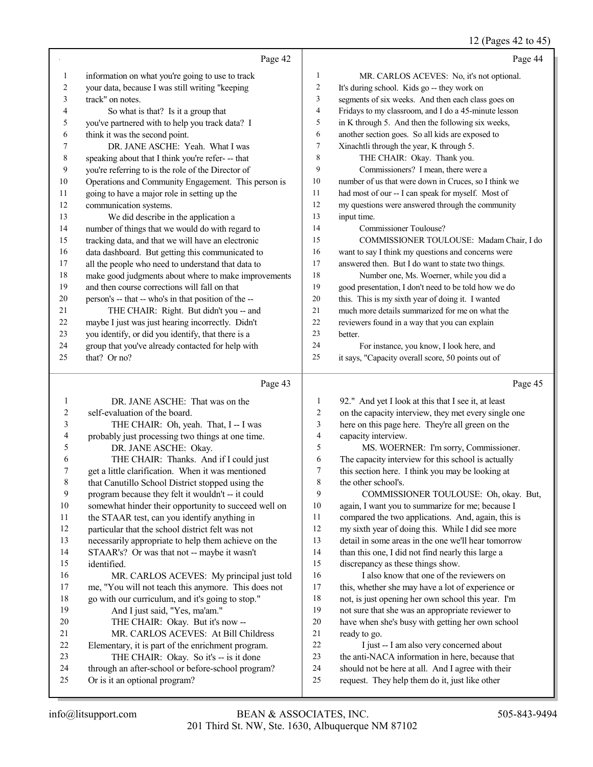12 (Pages 42 to 45)

|          |                                                                                    |                | $12 \text{ (1450)}$ 12 to 13                                                                        |
|----------|------------------------------------------------------------------------------------|----------------|-----------------------------------------------------------------------------------------------------|
|          | Page 42                                                                            |                | Page 44                                                                                             |
| 1        | information on what you're going to use to track                                   | 1              | MR. CARLOS ACEVES: No, it's not optional.                                                           |
| 2        | your data, because I was still writing "keeping                                    | 2              | It's during school. Kids go -- they work on                                                         |
| 3        | track" on notes.                                                                   | 3              | segments of six weeks. And then each class goes on                                                  |
| 4        | So what is that? Is it a group that                                                | $\overline{4}$ | Fridays to my classroom, and I do a 45-minute lesson                                                |
| 5        | you've partnered with to help you track data? I                                    | 5              | in K through 5. And then the following six weeks,                                                   |
| 6        | think it was the second point.                                                     | 6              | another section goes. So all kids are exposed to                                                    |
| 7        | DR. JANE ASCHE: Yeah. What I was                                                   | 7              | Xinachtli through the year, K through 5.                                                            |
| 8        | speaking about that I think you're refer--- that                                   | 8              | THE CHAIR: Okay. Thank you.                                                                         |
| 9        | you're referring to is the role of the Director of                                 | 9              | Commissioners? I mean, there were a                                                                 |
| 10       | Operations and Community Engagement. This person is                                | 10             | number of us that were down in Cruces, so I think we                                                |
| 11       | going to have a major role in setting up the                                       | 11             | had most of our -- I can speak for myself. Most of                                                  |
| 12       | communication systems.                                                             | 12             | my questions were answered through the community                                                    |
| 13       | We did describe in the application a                                               | 13             | input time.                                                                                         |
| 14       | number of things that we would do with regard to                                   | 14             | Commissioner Toulouse?                                                                              |
| 15       | tracking data, and that we will have an electronic                                 | 15             | COMMISSIONER TOULOUSE: Madam Chair, I do                                                            |
| 16       | data dashboard. But getting this communicated to                                   | 16             | want to say I think my questions and concerns were                                                  |
| 17       | all the people who need to understand that data to                                 | 17             | answered then. But I do want to state two things.                                                   |
| 18       | make good judgments about where to make improvements                               | 18             | Number one, Ms. Woerner, while you did a                                                            |
| 19       | and then course corrections will fall on that                                      | 19             | good presentation, I don't need to be told how we do                                                |
| $20\,$   | person's -- that -- who's in that position of the --                               | $20\,$         | this. This is my sixth year of doing it. I wanted                                                   |
| 21       | THE CHAIR: Right. But didn't you -- and                                            | 21             | much more details summarized for me on what the                                                     |
| 22       | maybe I just was just hearing incorrectly. Didn't                                  | 22             | reviewers found in a way that you can explain                                                       |
| 23       | you identify, or did you identify, that there is a                                 | 23             | better.                                                                                             |
| 24       | group that you've already contacted for help with                                  | 24<br>25       | For instance, you know, I look here, and                                                            |
| 25       | that? Or no?                                                                       |                | it says, "Capacity overall score, 50 points out of                                                  |
|          |                                                                                    |                |                                                                                                     |
|          | Page 43                                                                            |                | Page 45                                                                                             |
| 1        |                                                                                    | 1              |                                                                                                     |
| 2        | DR. JANE ASCHE: That was on the                                                    | $\overline{2}$ | 92." And yet I look at this that I see it, at least                                                 |
| 3        | self-evaluation of the board.                                                      | 3              | on the capacity interview, they met every single one                                                |
| 4        | THE CHAIR: Oh, yeah. That, I -- I was                                              | $\overline{4}$ | here on this page here. They're all green on the                                                    |
| 5        | probably just processing two things at one time.                                   | 5              | capacity interview.<br>MS. WOERNER: I'm sorry, Commissioner.                                        |
| 6        | DR. JANE ASCHE: Okay.<br>THE CHAIR: Thanks. And if I could just                    | 6              | The capacity interview for this school is actually                                                  |
| 7        | get a little clarification. When it was mentioned                                  | 7              | this section here. I think you may be looking at                                                    |
| 8        | that Canutillo School District stopped using the                                   | 8              | the other school's.                                                                                 |
| 9        | program because they felt it wouldn't -- it could                                  | 9              | COMMISSIONER TOULOUSE: Oh, okay. But,                                                               |
| 10       | somewhat hinder their opportunity to succeed well on                               | 10             | again, I want you to summarize for me; because I                                                    |
| 11       | the STAAR test, can you identify anything in                                       | 11             | compared the two applications. And, again, this is                                                  |
| 12       | particular that the school district felt was not                                   | 12             | my sixth year of doing this. While I did see more                                                   |
| 13       | necessarily appropriate to help them achieve on the                                | 13             | detail in some areas in the one we'll hear tomorrow                                                 |
| 14       | STAAR's? Or was that not -- maybe it wasn't                                        | 14             | than this one, I did not find nearly this large a                                                   |
| 15       | identified.                                                                        | 15             | discrepancy as these things show.                                                                   |
| 16       | MR. CARLOS ACEVES: My principal just told                                          | 16             | I also know that one of the reviewers on                                                            |
| 17       | me, "You will not teach this anymore. This does not                                | $17\,$         | this, whether she may have a lot of experience or                                                   |
| 18       | go with our curriculum, and it's going to stop."                                   | $18\,$         | not, is just opening her own school this year. I'm                                                  |
| 19       | And I just said, "Yes, ma'am."                                                     | 19             | not sure that she was an appropriate reviewer to                                                    |
| 20       | THE CHAIR: Okay. But it's now --                                                   | 20             | have when she's busy with getting her own school                                                    |
| 21       | MR. CARLOS ACEVES: At Bill Childress                                               | 21             | ready to go.                                                                                        |
| 22       | Elementary, it is part of the enrichment program.                                  | 22             | I just -- I am also very concerned about                                                            |
| 23       | THE CHAIR: Okay. So it's -- is it done                                             | 23             | the anti-NACA information in here, because that                                                     |
| 24<br>25 | through an after-school or before-school program?<br>Or is it an optional program? | 24<br>25       | should not be here at all. And I agree with their<br>request. They help them do it, just like other |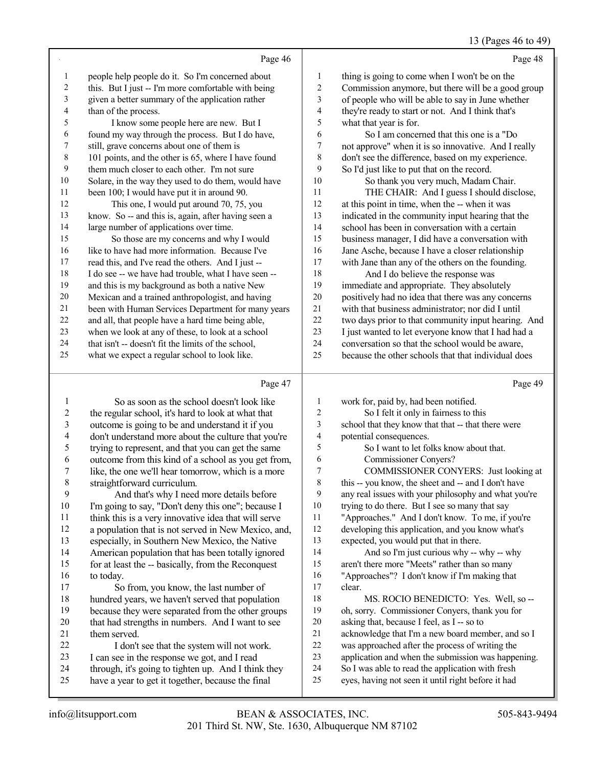# 13 (Pages 46 to 49)

|                | Page 46                                              |              | Page 48                                             |
|----------------|------------------------------------------------------|--------------|-----------------------------------------------------|
| 1              | people help people do it. So I'm concerned about     | $\mathbf{1}$ | thing is going to come when I won't be on the       |
| $\overline{c}$ | this. But I just -- I'm more comfortable with being  | 2            | Commission anymore, but there will be a good group  |
| 3              | given a better summary of the application rather     | 3            | of people who will be able to say in June whether   |
| 4              | than of the process.                                 | 4            | they're ready to start or not. And I think that's   |
| 5              | I know some people here are new. But I               | 5            | what that year is for.                              |
| 6              | found my way through the process. But I do have,     | 6            | So I am concerned that this one is a "Do            |
| 7              | still, grave concerns about one of them is           | 7            | not approve" when it is so innovative. And I really |
| $\,$ 8 $\,$    | 101 points, and the other is 65, where I have found  | 8            | don't see the difference, based on my experience.   |
| 9              | them much closer to each other. I'm not sure         | 9            | So I'd just like to put that on the record.         |
| 10             | Solare, in the way they used to do them, would have  | 10           | So thank you very much, Madam Chair.                |
| 11             | been 100; I would have put it in around 90.          | 11           | THE CHAIR: And I guess I should disclose,           |
| 12             | This one, I would put around 70, 75, you             | 12           | at this point in time, when the -- when it was      |
| 13             | know. So -- and this is, again, after having seen a  | 13           | indicated in the community input hearing that the   |
| 14             | large number of applications over time.              | 14           | school has been in conversation with a certain      |
| 15             | So those are my concerns and why I would             | 15           | business manager, I did have a conversation with    |
| 16             | like to have had more information. Because I've      | 16           | Jane Asche, because I have a closer relationship    |
| 17             | read this, and I've read the others. And I just --   | 17           | with Jane than any of the others on the founding.   |
| 18             | I do see -- we have had trouble, what I have seen -- | 18           | And I do believe the response was                   |
| 19             | and this is my background as both a native New       | 19           | immediate and appropriate. They absolutely          |
| 20             | Mexican and a trained anthropologist, and having     | 20           | positively had no idea that there was any concerns  |
| 21             | been with Human Services Department for many years   | 21           | with that business administrator; nor did I until   |
| 22             | and all, that people have a hard time being able,    | 22           | two days prior to that community input hearing. And |
| 23             | when we look at any of these, to look at a school    | 23           | I just wanted to let everyone know that I had had a |
| 24             | that isn't -- doesn't fit the limits of the school,  | 24           | conversation so that the school would be aware,     |
| 25             | what we expect a regular school to look like.        | 25           | because the other schools that that individual does |

### Page

|                | Page 47                                              |    | Page 49                                              |
|----------------|------------------------------------------------------|----|------------------------------------------------------|
| 1              | So as soon as the school doesn't look like           | 1  | work for, paid by, had been notified.                |
| $\overline{2}$ | the regular school, it's hard to look at what that   | 2  | So I felt it only in fairness to this                |
| 3              | outcome is going to be and understand it if you      | 3  | school that they know that that -- that there were   |
| 4              | don't understand more about the culture that you're  | 4  | potential consequences.                              |
| 5              | trying to represent, and that you can get the same   | 5  | So I want to let folks know about that.              |
| 6              | outcome from this kind of a school as you get from,  | 6  | <b>Commissioner Conyers?</b>                         |
| 7              | like, the one we'll hear tomorrow, which is a more   | 7  | COMMISSIONER CONYERS: Just looking at                |
| $\,$ 8 $\,$    | straightforward curriculum.                          | 8  | this -- you know, the sheet and -- and I don't have  |
| 9              | And that's why I need more details before            | 9  | any real issues with your philosophy and what you're |
| 10             | I'm going to say, "Don't deny this one"; because I   | 10 | trying to do there. But I see so many that say       |
| 11             | think this is a very innovative idea that will serve | 11 | "Approaches." And I don't know. To me, if you're     |
| 12             | a population that is not served in New Mexico, and,  | 12 | developing this application, and you know what's     |
| 13             | especially, in Southern New Mexico, the Native       | 13 | expected, you would put that in there.               |
| 14             | American population that has been totally ignored    | 14 | And so I'm just curious why -- why -- why            |
| 15             | for at least the -- basically, from the Reconquest   | 15 | aren't there more "Meets" rather than so many        |
| 16             | to today.                                            | 16 | "Approaches"? I don't know if I'm making that        |
| 17             | So from, you know, the last number of                | 17 | clear.                                               |
| 18             | hundred years, we haven't served that population     | 18 | MS. ROCIO BENEDICTO: Yes. Well, so --                |
| 19             | because they were separated from the other groups    | 19 | oh, sorry. Commissioner Conyers, thank you for       |
| 20             | that had strengths in numbers. And I want to see     | 20 | asking that, because I feel, as I -- so to           |
| 21             | them served.                                         | 21 | acknowledge that I'm a new board member, and so I    |
| 22             | I don't see that the system will not work.           | 22 | was approached after the process of writing the      |
| 23             | I can see in the response we got, and I read         | 23 | application and when the submission was happening.   |
| 24             | through, it's going to tighten up. And I think they  | 24 | So I was able to read the application with fresh     |
| 25             | have a year to get it together, because the final    | 25 | eyes, having not seen it until right before it had   |
|                |                                                      |    |                                                      |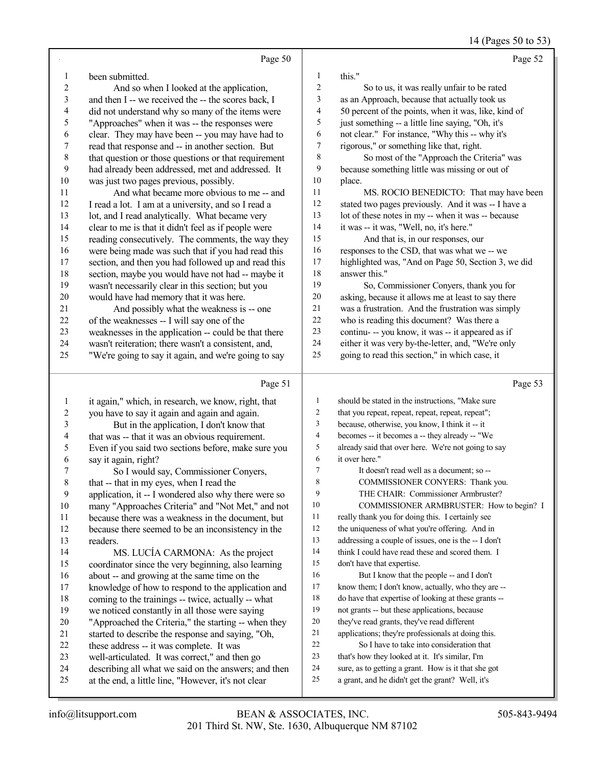14 (Pages 50 to 53)

|                         | Page 50                                                                                                |            | Page 52                                                                                                |
|-------------------------|--------------------------------------------------------------------------------------------------------|------------|--------------------------------------------------------------------------------------------------------|
| 1                       | been submitted.                                                                                        | 1          | this."                                                                                                 |
| $\overline{c}$          | And so when I looked at the application,                                                               | $\sqrt{2}$ | So to us, it was really unfair to be rated                                                             |
| $\overline{\mathbf{3}}$ | and then I -- we received the -- the scores back, I                                                    | 3          | as an Approach, because that actually took us                                                          |
| 4                       | did not understand why so many of the items were                                                       | 4          | 50 percent of the points, when it was, like, kind of                                                   |
| 5                       | "Approaches" when it was -- the responses were                                                         | 5          | just something -- a little line saying, "Oh, it's                                                      |
| 6                       | clear. They may have been -- you may have had to                                                       | 6          | not clear." For instance, "Why this -- why it's                                                        |
| $\boldsymbol{7}$        | read that response and -- in another section. But                                                      | 7          | rigorous," or something like that, right.                                                              |
| $\,$ $\,$               | that question or those questions or that requirement                                                   | 8          | So most of the "Approach the Criteria" was                                                             |
| 9                       | had already been addressed, met and addressed. It                                                      | 9          | because something little was missing or out of                                                         |
| $10\,$                  | was just two pages previous, possibly.                                                                 | $10\,$     | place.                                                                                                 |
| 11                      | And what became more obvious to me -- and                                                              | $11\,$     | MS. ROCIO BENEDICTO: That may have been                                                                |
| 12                      | I read a lot. I am at a university, and so I read a                                                    | 12         | stated two pages previously. And it was -- I have a                                                    |
| 13                      | lot, and I read analytically. What became very                                                         | 13         | lot of these notes in my -- when it was -- because                                                     |
| 14                      | clear to me is that it didn't feel as if people were                                                   | 14         | it was -- it was, "Well, no, it's here."                                                               |
| 15                      | reading consecutively. The comments, the way they                                                      | 15         | And that is, in our responses, our                                                                     |
| 16                      | were being made was such that if you had read this                                                     | 16         | responses to the CSD, that was what we -- we                                                           |
| 17                      | section, and then you had followed up and read this                                                    | 17         | highlighted was, "And on Page 50, Section 3, we did                                                    |
| $18\,$                  | section, maybe you would have not had -- maybe it                                                      | 18         | answer this."                                                                                          |
| 19                      | wasn't necessarily clear in this section; but you                                                      | 19         | So, Commissioner Conyers, thank you for                                                                |
| $20\,$                  | would have had memory that it was here.                                                                | $20\,$     | asking, because it allows me at least to say there                                                     |
| 21                      | And possibly what the weakness is -- one                                                               | 21         | was a frustration. And the frustration was simply                                                      |
| $22\,$                  | of the weaknesses -- I will say one of the                                                             | $22\,$     | who is reading this document? Was there a                                                              |
| 23                      | weaknesses in the application -- could be that there                                                   | 23         | continu- -- you know, it was -- it appeared as if                                                      |
| 24                      | wasn't reiteration; there wasn't a consistent, and,                                                    | 24         | either it was very by-the-letter, and, "We're only                                                     |
| 25                      | "We're going to say it again, and we're going to say                                                   | 25         | going to read this section," in which case, it                                                         |
|                         |                                                                                                        |            |                                                                                                        |
|                         | Page 51                                                                                                |            | Page 53                                                                                                |
| $\mathbf{1}$            |                                                                                                        | 1          | should be stated in the instructions, "Make sure                                                       |
| $\overline{c}$          | it again," which, in research, we know, right, that<br>you have to say it again and again and again.   | 2          | that you repeat, repeat, repeat, repeat, repeat";                                                      |
| $\overline{\mathbf{3}}$ | But in the application, I don't know that                                                              | 3          | because, otherwise, you know, I think it -- it                                                         |
| 4                       | that was -- that it was an obvious requirement.                                                        | 4          | becomes -- it becomes a -- they already -- "We                                                         |
| 5                       | Even if you said two sections before, make sure you                                                    | 5          | already said that over here. We're not going to say                                                    |
| 6                       | say it again, right?                                                                                   | 6          | it over here."                                                                                         |
| 7                       | So I would say, Commissioner Conyers,                                                                  | $\tau$     | It doesn't read well as a document; so --                                                              |
| $\,$ $\,$               | that -- that in my eyes, when I read the                                                               | 8          | COMMISSIONER CONYERS: Thank you.                                                                       |
| 9                       | application, it -- I wondered also why there were so                                                   | 9          | THE CHAIR: Commissioner Armbruster?                                                                    |
| 10                      | many "Approaches Criteria" and "Not Met," and not                                                      | 10         | COMMISSIONER ARMBRUSTER: How to begin? I                                                               |
| 11                      | because there was a weakness in the document, but                                                      | 11         | really thank you for doing this. I certainly see                                                       |
| 12                      | because there seemed to be an inconsistency in the                                                     | 12         | the uniqueness of what you're offering. And in                                                         |
| 13                      | readers.                                                                                               | 13         | addressing a couple of issues, one is the -- I don't                                                   |
| 14                      | MS. LUCÍA CARMONA: As the project                                                                      | 14         | think I could have read these and scored them. I                                                       |
| 15                      | coordinator since the very beginning, also learning                                                    | 15         | don't have that expertise.                                                                             |
| 16                      | about -- and growing at the same time on the                                                           | 16         | But I know that the people -- and I don't                                                              |
| 17                      | knowledge of how to respond to the application and                                                     | 17         | know them; I don't know, actually, who they are --                                                     |
| 18                      | coming to the trainings -- twice, actually -- what                                                     | 18         | do have that expertise of looking at these grants --                                                   |
| 19                      | we noticed constantly in all those were saying                                                         | 19         | not grants -- but these applications, because                                                          |
| $20\,$                  | "Approached the Criteria," the starting -- when they                                                   | 20         | they've read grants, they've read different                                                            |
| 21                      | started to describe the response and saying, "Oh,                                                      | 21         | applications; they're professionals at doing this.                                                     |
| 22                      | these address -- it was complete. It was                                                               | $22\,$     | So I have to take into consideration that                                                              |
| 23<br>24                | well-articulated. It was correct," and then go<br>describing all what we said on the answers; and then | 23<br>24   | that's how they looked at it. It's similar, I'm<br>sure, as to getting a grant. How is it that she got |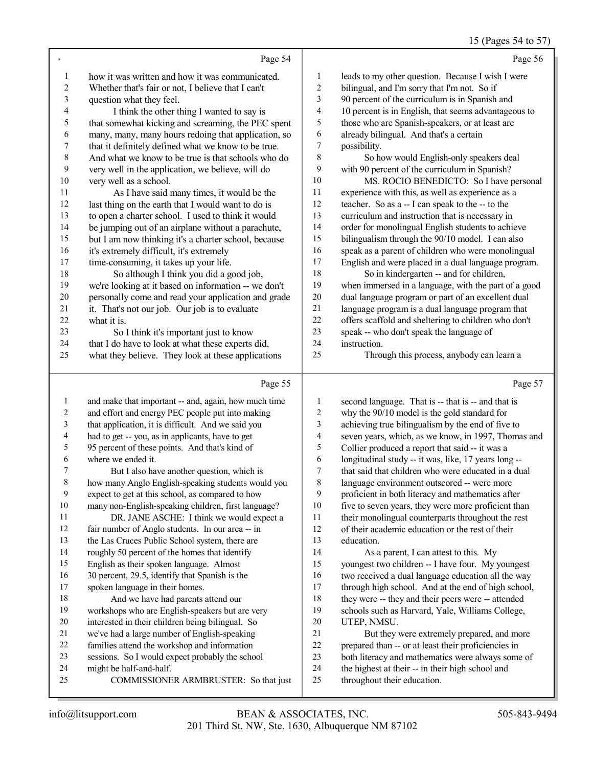# 15 (Pages 54 to 57)

|    | Page 54                                              |                         | Page 56                                              |
|----|------------------------------------------------------|-------------------------|------------------------------------------------------|
| 1  | how it was written and how it was communicated.      | 1                       | leads to my other question. Because I wish I were    |
| 2  | Whether that's fair or not, I believe that I can't   | $\boldsymbol{2}$        | bilingual, and I'm sorry that I'm not. So if         |
| 3  | question what they feel.                             | $\mathfrak{Z}$          | 90 percent of the curriculum is in Spanish and       |
| 4  | I think the other thing I wanted to say is           | $\overline{\mathbf{4}}$ | 10 percent is in English, that seems advantageous to |
| 5  | that somewhat kicking and screaming, the PEC spent   | 5                       | those who are Spanish-speakers, or at least are      |
| 6  | many, many, many hours redoing that application, so  | 6                       | already bilingual. And that's a certain              |
| 7  | that it definitely defined what we know to be true.  | $\overline{7}$          | possibility.                                         |
| 8  | And what we know to be true is that schools who do   | 8                       | So how would English-only speakers deal              |
| 9  | very well in the application, we believe, will do    | 9                       | with 90 percent of the curriculum in Spanish?        |
| 10 | very well as a school.                               | 10                      | MS. ROCIO BENEDICTO: So I have personal              |
| 11 | As I have said many times, it would be the           | 11                      | experience with this, as well as experience as a     |
| 12 | last thing on the earth that I would want to do is   | 12                      | teacher. So as a -- I can speak to the -- to the     |
| 13 | to open a charter school. I used to think it would   | 13                      | curriculum and instruction that is necessary in      |
| 14 | be jumping out of an airplane without a parachute,   | 14                      | order for monolingual English students to achieve    |
| 15 | but I am now thinking it's a charter school, because | 15                      | bilingualism through the 90/10 model. I can also     |
| 16 | it's extremely difficult, it's extremely             | 16                      | speak as a parent of children who were monolingual   |
| 17 | time-consuming, it takes up your life.               | 17                      | English and were placed in a dual language program.  |
| 18 | So although I think you did a good job,              | 18                      | So in kindergarten -- and for children,              |
| 19 | we're looking at it based on information -- we don't | 19                      | when immersed in a language, with the part of a good |
| 20 | personally come and read your application and grade  | 20                      | dual language program or part of an excellent dual   |
| 21 | it. That's not our job. Our job is to evaluate       | 21                      | language program is a dual language program that     |
| 22 | what it is.                                          | 22                      | offers scaffold and sheltering to children who don't |
| 23 | So I think it's important just to know               | 23                      | speak -- who don't speak the language of             |
| 24 | that I do have to look at what these experts did,    | 24                      | instruction.                                         |
| 25 | what they believe. They look at these applications   | 25                      | Through this process, anybody can learn a            |
|    | Page 55                                              |                         | Page 57                                              |

| 1           | and make that important -- and, again, how much time | 1  | second language. That is -- that is -- and that is   |
|-------------|------------------------------------------------------|----|------------------------------------------------------|
| 2           | and effort and energy PEC people put into making     | 2  | why the 90/10 model is the gold standard for         |
| 3           | that application, it is difficult. And we said you   | 3  | achieving true bilingualism by the end of five to    |
| 4           | had to get -- you, as in applicants, have to get     | 4  | seven years, which, as we know, in 1997, Thomas and  |
| 5           | 95 percent of these points. And that's kind of       | 5  | Collier produced a report that said -- it was a      |
| 6           | where we ended it.                                   | 6  | longitudinal study -- it was, like, 17 years long -- |
| 7           | But I also have another question, which is           | 7  | that said that children who were educated in a dual  |
| $\,$ 8 $\,$ | how many Anglo English-speaking students would you   | 8  | language environment outscored -- were more          |
| 9           | expect to get at this school, as compared to how     | 9  | proficient in both literacy and mathematics after    |
| 10          | many non-English-speaking children, first language?  | 10 | five to seven years, they were more proficient than  |
| 11          | DR. JANE ASCHE: I think we would expect a            | 11 | their monolingual counterparts throughout the rest   |
| 12          | fair number of Anglo students. In our area -- in     | 12 | of their academic education or the rest of their     |
| 13          | the Las Cruces Public School system, there are       | 13 | education.                                           |
| 14          | roughly 50 percent of the homes that identify        | 14 | As a parent, I can attest to this. My                |
| 15          | English as their spoken language. Almost             | 15 | youngest two children -- I have four. My youngest    |
| 16          | 30 percent, 29.5, identify that Spanish is the       | 16 | two received a dual language education all the way   |
| 17          | spoken language in their homes.                      | 17 | through high school. And at the end of high school,  |
| 18          | And we have had parents attend our                   | 18 | they were -- they and their peers were -- attended   |
| 19          | workshops who are English-speakers but are very      | 19 | schools such as Harvard, Yale, Williams College,     |
| 20          | interested in their children being bilingual. So     | 20 | UTEP, NMSU.                                          |
| 21          | we've had a large number of English-speaking         | 21 | But they were extremely prepared, and more           |
| 22          | families attend the workshop and information         | 22 | prepared than -- or at least their proficiencies in  |
| 23          | sessions. So I would expect probably the school      | 23 | both literacy and mathematics were always some of    |
| 24          | might be half-and-half.                              | 24 | the highest at their -- in their high school and     |
| 25          | COMMISSIONER ARMBRUSTER: So that just                | 25 | throughout their education.                          |
|             |                                                      |    |                                                      |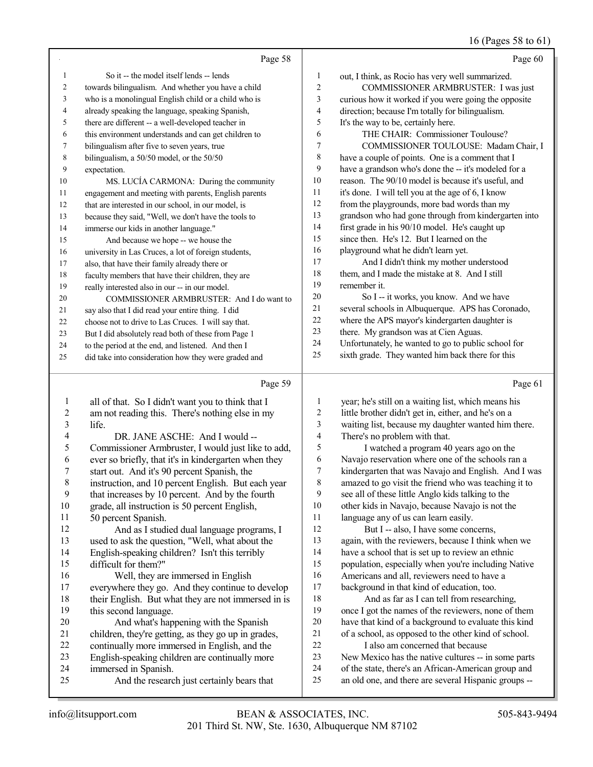## 16 (Pages 58 to 61)

|    | Page 58                                                                                                                                                                                                                        |                | Page 60                                                                                                                                                                                                                       |
|----|--------------------------------------------------------------------------------------------------------------------------------------------------------------------------------------------------------------------------------|----------------|-------------------------------------------------------------------------------------------------------------------------------------------------------------------------------------------------------------------------------|
| 1  | So it -- the model itself lends -- lends                                                                                                                                                                                       | 1              | out, I think, as Rocio has very well summarized.                                                                                                                                                                              |
| 2  | towards bilingualism. And whether you have a child                                                                                                                                                                             | $\overline{2}$ | COMMISSIONER ARMBRUSTER: I was just                                                                                                                                                                                           |
| 3  | who is a monolingual English child or a child who is                                                                                                                                                                           | 3              | curious how it worked if you were going the opposite                                                                                                                                                                          |
| 4  | already speaking the language, speaking Spanish,                                                                                                                                                                               | $\overline{4}$ | direction; because I'm totally for bilingualism.                                                                                                                                                                              |
| 5  | there are different -- a well-developed teacher in                                                                                                                                                                             | 5              | It's the way to be, certainly here.                                                                                                                                                                                           |
| 6  | this environment understands and can get children to                                                                                                                                                                           | 6              | THE CHAIR: Commissioner Toulouse?                                                                                                                                                                                             |
| 7  | bilingualism after five to seven years, true                                                                                                                                                                                   | 7              | COMMISSIONER TOULOUSE: Madam Chair, I                                                                                                                                                                                         |
| 8  | bilingualism, a 50/50 model, or the 50/50                                                                                                                                                                                      | 8              | have a couple of points. One is a comment that I                                                                                                                                                                              |
| 9  | expectation.                                                                                                                                                                                                                   | 9              | have a grandson who's done the -- it's modeled for a                                                                                                                                                                          |
| 10 | MS. LUCÍA CARMONA: During the community                                                                                                                                                                                        | 10             | reason. The 90/10 model is because it's useful, and                                                                                                                                                                           |
| 11 | engagement and meeting with parents, English parents                                                                                                                                                                           | 11             | it's done. I will tell you at the age of 6, I know                                                                                                                                                                            |
| 12 | that are interested in our school, in our model, is                                                                                                                                                                            | 12             | from the playgrounds, more bad words than my                                                                                                                                                                                  |
| 13 | because they said, "Well, we don't have the tools to                                                                                                                                                                           | 13             | grandson who had gone through from kindergarten into                                                                                                                                                                          |
| 14 | immerse our kids in another language."                                                                                                                                                                                         | 14             | first grade in his 90/10 model. He's caught up                                                                                                                                                                                |
| 15 | And because we hope -- we house the                                                                                                                                                                                            | 15             | since then. He's 12. But I learned on the                                                                                                                                                                                     |
| 16 | university in Las Cruces, a lot of foreign students,                                                                                                                                                                           | 16             | playground what he didn't learn yet.                                                                                                                                                                                          |
| 17 | also, that have their family already there or                                                                                                                                                                                  | 17             | And I didn't think my mother understood                                                                                                                                                                                       |
| 18 | faculty members that have their children, they are                                                                                                                                                                             | 18             | them, and I made the mistake at 8. And I still                                                                                                                                                                                |
| 19 | really interested also in our -- in our model.                                                                                                                                                                                 | 19             | remember it.                                                                                                                                                                                                                  |
| 20 | COMMISSIONER ARMBRUSTER: And I do want to                                                                                                                                                                                      | 20             | So I -- it works, you know. And we have                                                                                                                                                                                       |
| 21 | say also that I did read your entire thing. I did                                                                                                                                                                              | 21             | several schools in Albuquerque. APS has Coronado,                                                                                                                                                                             |
| 22 | choose not to drive to Las Cruces. I will say that.                                                                                                                                                                            | 22             | where the APS mayor's kindergarten daughter is                                                                                                                                                                                |
| 23 | But I did absolutely read both of these from Page 1                                                                                                                                                                            | 23             | there. My grandson was at Cien Aguas.                                                                                                                                                                                         |
| 24 | to the period at the end, and listened. And then I                                                                                                                                                                             | 24             | Unfortunately, he wanted to go to public school for                                                                                                                                                                           |
| 25 | did take into consideration how they were graded and                                                                                                                                                                           | 25             | sixth grade. They wanted him back there for this                                                                                                                                                                              |
|    | Page 59                                                                                                                                                                                                                        |                | Page 61                                                                                                                                                                                                                       |
|    | all of that. So I didn't want you to think that I                                                                                                                                                                              | 1              | year; he's still on a waiting list, which means his                                                                                                                                                                           |
|    | contract the contract of the contract of the contract of the contract of the contract of the contract of the contract of the contract of the contract of the contract of the contract of the contract of the contract of the c |                | the contract and contract the contract of the contract of the contract of the contract of the contract of the contract of the contract of the contract of the contract of the contract of the contract of the contract of the |

| 2  | am not reading this. There's nothing else in my      | 2  | little brother didn't get in, either, and he's on a  |
|----|------------------------------------------------------|----|------------------------------------------------------|
| 3  | life.                                                | 3  | waiting list, because my daughter wanted him there.  |
| 4  | DR. JANE ASCHE: And I would --                       | 4  | There's no problem with that.                        |
| 5  | Commissioner Armbruster, I would just like to add,   | 5  | I watched a program 40 years ago on the              |
| 6  | ever so briefly, that it's in kindergarten when they | 6  | Navajo reservation where one of the schools ran a    |
|    | start out. And it's 90 percent Spanish, the          | 7  | kindergarten that was Navajo and English. And I was  |
| 8  | instruction, and 10 percent English. But each year   | 8  | amazed to go visit the friend who was teaching it to |
| 9  | that increases by 10 percent. And by the fourth      | 9  | see all of these little Anglo kids talking to the    |
| 10 | grade, all instruction is 50 percent English,        | 10 | other kids in Navajo, because Navajo is not the      |
| 11 | 50 percent Spanish.                                  | 11 | language any of us can learn easily.                 |
| 12 | And as I studied dual language programs, I           | 12 | But I -- also, I have some concerns,                 |
| 13 | used to ask the question, "Well, what about the      | 13 | again, with the reviewers, because I think when we   |
| 14 | English-speaking children? Isn't this terribly       | 14 | have a school that is set up to review an ethnic     |
| 15 | difficult for them?"                                 | 15 | population, especially when you're including Native  |
| 16 | Well, they are immersed in English                   | 16 | Americans and all, reviewers need to have a          |
| 17 | everywhere they go. And they continue to develop     | 17 | background in that kind of education, too.           |
| 18 | their English. But what they are not immersed in is  | 18 | And as far as I can tell from researching,           |
| 19 | this second language.                                | 19 | once I got the names of the reviewers, none of them  |
| 20 | And what's happening with the Spanish                | 20 | have that kind of a background to evaluate this kind |
| 21 | children, they're getting, as they go up in grades,  | 21 | of a school, as opposed to the other kind of school. |
| 22 | continually more immersed in English, and the        | 22 | I also am concerned that because                     |
| 23 | English-speaking children are continually more       | 23 | New Mexico has the native cultures -- in some parts  |
| 24 | immersed in Spanish.                                 | 24 | of the state, there's an African-American group and  |
| 25 | And the research just certainly bears that           | 25 | an old one, and there are several Hispanic groups -- |
|    |                                                      |    |                                                      |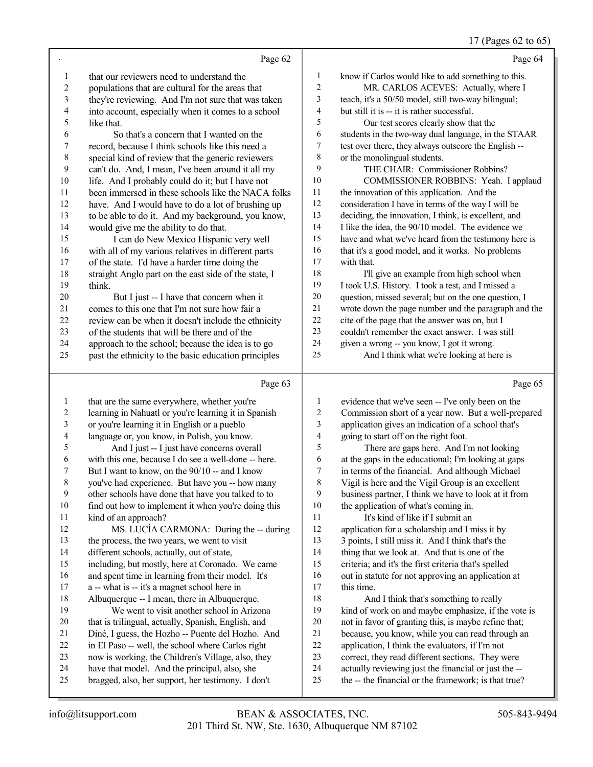17 (Pages 62 to 65)

|                          |                                                      |                          | 17 (Pages 62 to 65)                                  |
|--------------------------|------------------------------------------------------|--------------------------|------------------------------------------------------|
|                          | Page 62                                              |                          | Page 64                                              |
| $\mathbf{1}$             | that our reviewers need to understand the            | $\mathbf{1}$             | know if Carlos would like to add something to this.  |
| $\overline{c}$           | populations that are cultural for the areas that     | $\sqrt{2}$               | MR. CARLOS ACEVES: Actually, where I                 |
| 3                        | they're reviewing. And I'm not sure that was taken   | 3                        | teach, it's a 50/50 model, still two-way bilingual;  |
| $\overline{\mathcal{L}}$ | into account, especially when it comes to a school   | $\overline{\mathcal{A}}$ | but still it is -- it is rather successful.          |
| 5                        | like that.                                           | 5                        | Our test scores clearly show that the                |
| 6                        | So that's a concern that I wanted on the             | 6                        | students in the two-way dual language, in the STAAR  |
| $\boldsymbol{7}$         | record, because I think schools like this need a     | 7                        | test over there, they always outscore the English -- |
| $\,$ $\,$                | special kind of review that the generic reviewers    | $\,$ 8 $\,$              | or the monolingual students.                         |
| 9                        | can't do. And, I mean, I've been around it all my    | 9                        | THE CHAIR: Commissioner Robbins?                     |
| 10                       | life. And I probably could do it; but I have not     | 10                       | COMMISSIONER ROBBINS: Yeah. I applaud                |
| 11                       | been immersed in these schools like the NACA folks   | 11                       | the innovation of this application. And the          |
| 12                       | have. And I would have to do a lot of brushing up    | $12\,$                   | consideration I have in terms of the way I will be   |
| 13                       | to be able to do it. And my background, you know,    | 13                       | deciding, the innovation, I think, is excellent, and |
| 14                       | would give me the ability to do that.                | 14                       | I like the idea, the 90/10 model. The evidence we    |
| 15                       | I can do New Mexico Hispanic very well               | 15                       | have and what we've heard from the testimony here is |
| 16                       | with all of my various relatives in different parts  | 16                       | that it's a good model, and it works. No problems    |
| 17                       | of the state. I'd have a harder time doing the       | 17                       | with that.                                           |
| 18                       | straight Anglo part on the east side of the state, I | 18                       | I'll give an example from high school when           |
| 19                       | think.                                               | 19                       | I took U.S. History. I took a test, and I missed a   |
| $20\,$                   | But I just -- I have that concern when it            | $20\,$                   | question, missed several; but on the one question, I |
| $21\,$                   | comes to this one that I'm not sure how fair a       | 21                       | wrote down the page number and the paragraph and the |
| $22\,$                   | review can be when it doesn't include the ethnicity  | $22\,$                   | cite of the page that the answer was on, but I       |
| 23                       | of the students that will be there and of the        | 23                       | couldn't remember the exact answer. I was still      |
| 24                       | approach to the school; because the idea is to go    | 24                       | given a wrong -- you know, I got it wrong.           |
| 25                       | past the ethnicity to the basic education principles | 25                       | And I think what we're looking at here is            |
|                          |                                                      |                          |                                                      |
|                          | Page 63                                              |                          | Page 65                                              |
| $\mathbf{1}$             | that are the same everywhere, whether you're         | 1                        | evidence that we've seen -- I've only been on the    |
| $\sqrt{2}$               | learning in Nahuatl or you're learning it in Spanish | $\overline{c}$           | Commission short of a year now. But a well-prepared  |
| 3                        | or you're learning it in English or a pueblo         | 3                        | application gives an indication of a school that's   |
| $\overline{\mathcal{A}}$ | language or, you know, in Polish, you know.          | $\overline{\mathbf{4}}$  | going to start off on the right foot.                |
| 5                        | And I just -- I just have concerns overall           | 5                        | There are gaps here. And I'm not looking             |
| 6                        | with this one, because I do see a well-done -- here. | 6                        | at the gaps in the educational; I'm looking at gaps  |
| 7                        | But I want to know, on the 90/10 -- and I know       | $\boldsymbol{7}$         | in terms of the financial. And although Michael      |
| 8                        | you've had experience. But have you -- how many      | $\,8\,$                  | Vigil is here and the Vigil Group is an excellent    |
| Q                        | other schools have done that have you talked to to   | $\mathbf Q$              | business partner. I think we have to look at it from |

| 1  | that are the same everywhere, whether you're         | 1  | evidence that we've seen -- I've only been on the    |
|----|------------------------------------------------------|----|------------------------------------------------------|
| 2  | learning in Nahuatl or you're learning it in Spanish | 2  | Commission short of a year now. But a well-prepared  |
| 3  | or you're learning it in English or a pueblo         | 3  | application gives an indication of a school that's   |
| 4  | language or, you know, in Polish, you know.          | 4  | going to start off on the right foot.                |
| 5  | And I just -- I just have concerns overall           | 5  | There are gaps here. And I'm not looking             |
| 6  | with this one, because I do see a well-done -- here. | 6  | at the gaps in the educational; I'm looking at gaps  |
| 7  | But I want to know, on the 90/10 -- and I know       | 7  | in terms of the financial. And although Michael      |
| 8  | you've had experience. But have you -- how many      | 8  | Vigil is here and the Vigil Group is an excellent    |
| 9  | other schools have done that have you talked to to   | 9  | business partner, I think we have to look at it from |
| 10 | find out how to implement it when you're doing this  | 10 | the application of what's coming in.                 |
| 11 | kind of an approach?                                 | 11 | It's kind of like if I submit an                     |
| 12 | MS. LUCÍA CARMONA: During the -- during              | 12 | application for a scholarship and I miss it by       |
| 13 | the process, the two years, we went to visit         | 13 | 3 points, I still miss it. And I think that's the    |
| 14 | different schools, actually, out of state,           | 14 | thing that we look at. And that is one of the        |
| 15 | including, but mostly, here at Coronado. We came     | 15 | criteria; and it's the first criteria that's spelled |
| 16 | and spent time in learning from their model. It's    | 16 | out in statute for not approving an application at   |
| 17 | a -- what is -- it's a magnet school here in         | 17 | this time.                                           |
| 18 | Albuquerque -- I mean, there in Albuquerque.         | 18 | And I think that's something to really               |
| 19 | We went to visit another school in Arizona           | 19 | kind of work on and maybe emphasize, if the vote is  |
| 20 | that is trilingual, actually, Spanish, English, and  | 20 | not in favor of granting this, is maybe refine that; |
| 21 | Diné, I guess, the Hozho -- Puente del Hozho. And    | 21 | because, you know, while you can read through an     |
| 22 | in El Paso -- well, the school where Carlos right    | 22 | application, I think the evaluators, if I'm not      |
| 23 | now is working, the Children's Village, also, they   | 23 | correct, they read different sections. They were     |
| 24 | have that model. And the principal, also, she        | 24 | actually reviewing just the financial or just the -- |
| 25 | bragged, also, her support, her testimony. I don't   | 25 | the -- the financial or the framework; is that true? |
|    |                                                      |    |                                                      |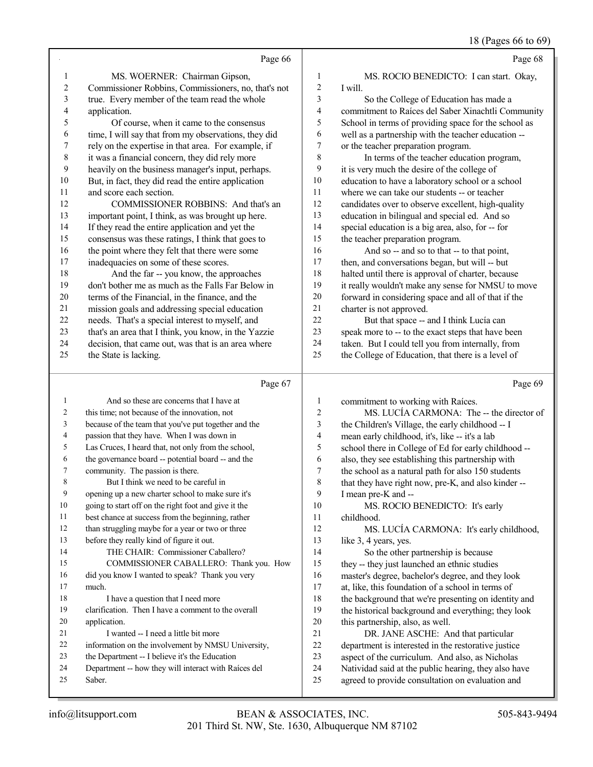| 505-843-9494 |  |  |  |
|--------------|--|--|--|

|                                | Page 66                                                                                                                                                                                                                                                                                          |                     | Page 68                                                                                                   |
|--------------------------------|--------------------------------------------------------------------------------------------------------------------------------------------------------------------------------------------------------------------------------------------------------------------------------------------------|---------------------|-----------------------------------------------------------------------------------------------------------|
| 1                              | MS. WOERNER: Chairman Gipson,                                                                                                                                                                                                                                                                    | 1                   | MS. ROCIO BENEDICTO: I can start. Okay,                                                                   |
| $\sqrt{2}$                     | Commissioner Robbins, Commissioners, no, that's not                                                                                                                                                                                                                                              | $\mathfrak{2}$      | I will.                                                                                                   |
| 3                              | true. Every member of the team read the whole                                                                                                                                                                                                                                                    | 3                   | So the College of Education has made a                                                                    |
| 4                              | application.                                                                                                                                                                                                                                                                                     | 4                   | commitment to Raíces del Saber Xinachtli Community                                                        |
| 5                              | Of course, when it came to the consensus                                                                                                                                                                                                                                                         | 5                   | School in terms of providing space for the school as                                                      |
| 6                              | time, I will say that from my observations, they did                                                                                                                                                                                                                                             | 6                   | well as a partnership with the teacher education --                                                       |
| 7                              | rely on the expertise in that area. For example, if                                                                                                                                                                                                                                              | 7                   | or the teacher preparation program.                                                                       |
| 8                              | it was a financial concern, they did rely more                                                                                                                                                                                                                                                   | 8                   | In terms of the teacher education program,                                                                |
| 9                              | heavily on the business manager's input, perhaps.                                                                                                                                                                                                                                                | 9                   | it is very much the desire of the college of                                                              |
| $10\,$                         | But, in fact, they did read the entire application                                                                                                                                                                                                                                               | $10\,$              | education to have a laboratory school or a school                                                         |
| 11                             | and score each section.                                                                                                                                                                                                                                                                          | 11                  | where we can take our students -- or teacher                                                              |
| 12                             | COMMISSIONER ROBBINS: And that's an                                                                                                                                                                                                                                                              | 12                  | candidates over to observe excellent, high-quality                                                        |
| 13                             | important point, I think, as was brought up here.                                                                                                                                                                                                                                                | 13                  | education in bilingual and special ed. And so                                                             |
| 14                             | If they read the entire application and yet the                                                                                                                                                                                                                                                  | 14                  | special education is a big area, also, for -- for                                                         |
| 15                             | consensus was these ratings, I think that goes to                                                                                                                                                                                                                                                | 15                  | the teacher preparation program.                                                                          |
| 16                             | the point where they felt that there were some                                                                                                                                                                                                                                                   | 16                  | And so -- and so to that -- to that point,                                                                |
| 17                             | inadequacies on some of these scores.                                                                                                                                                                                                                                                            | 17                  | then, and conversations began, but will -- but                                                            |
| 18                             | And the far -- you know, the approaches                                                                                                                                                                                                                                                          | 18                  | halted until there is approval of charter, because                                                        |
| 19                             | don't bother me as much as the Falls Far Below in                                                                                                                                                                                                                                                | 19                  | it really wouldn't make any sense for NMSU to move                                                        |
| $20\,$                         | terms of the Financial, in the finance, and the                                                                                                                                                                                                                                                  | 20                  | forward in considering space and all of that if the                                                       |
| 21                             | mission goals and addressing special education                                                                                                                                                                                                                                                   | 21                  | charter is not approved.                                                                                  |
| 22                             | needs. That's a special interest to myself, and                                                                                                                                                                                                                                                  | 22                  | But that space -- and I think Lucía can                                                                   |
| 23                             | that's an area that I think, you know, in the Yazzie                                                                                                                                                                                                                                             | 23                  | speak more to -- to the exact steps that have been                                                        |
| 24                             | decision, that came out, was that is an area where                                                                                                                                                                                                                                               | 24                  | taken. But I could tell you from internally, from                                                         |
| 25                             | the State is lacking.                                                                                                                                                                                                                                                                            | 25                  | the College of Education, that there is a level of                                                        |
|                                | Page 67                                                                                                                                                                                                                                                                                          |                     | Page 69                                                                                                   |
|                                | And so these are concerns that I have at                                                                                                                                                                                                                                                         |                     |                                                                                                           |
| $\mathbf{1}$<br>$\overline{c}$ | this time; not because of the innovation, not                                                                                                                                                                                                                                                    | 1<br>$\overline{c}$ | commitment to working with Raíces.<br>MS. LUCÍA CARMONA: The -- the director of                           |
| $\mathfrak{Z}$                 | because of the team that you've put together and the                                                                                                                                                                                                                                             | 3                   |                                                                                                           |
| 4                              | passion that they have. When I was down in                                                                                                                                                                                                                                                       | 4                   | the Children's Village, the early childhood -- I                                                          |
| 5                              | Las Cruces, I heard that, not only from the school,                                                                                                                                                                                                                                              | 5                   | mean early childhood, it's, like -- it's a lab                                                            |
| 6                              | the governance board -- potential board -- and the                                                                                                                                                                                                                                               | 6                   | school there in College of Ed for early childhood --<br>also, they see establishing this partnership with |
| $\tau$                         | community. The passion is there.                                                                                                                                                                                                                                                                 | $\boldsymbol{7}$    | the school as a natural path for also 150 students                                                        |
| $\,$ $\,$                      | But I think we need to be careful in                                                                                                                                                                                                                                                             | $\,$ 8 $\,$         | that they have right now, pre-K, and also kinder --                                                       |
| 9                              | opening up a new charter school to make sure it's                                                                                                                                                                                                                                                | 9                   | I mean pre-K and --                                                                                       |
| 10                             | going to start off on the right foot and give it the                                                                                                                                                                                                                                             | 10                  | MS. ROCIO BENEDICTO: It's early                                                                           |
| 11                             | best chance at success from the beginning, rather                                                                                                                                                                                                                                                | 11                  | childhood.                                                                                                |
| $1^{\circ}$                    | $\mathbf{d}$ and $\mathbf{d}$ and $\mathbf{d}$ and $\mathbf{d}$ and $\mathbf{d}$ and $\mathbf{d}$ and $\mathbf{d}$ and $\mathbf{d}$ and $\mathbf{d}$ and $\mathbf{d}$ and $\mathbf{d}$ and $\mathbf{d}$ and $\mathbf{d}$ and $\mathbf{d}$ and $\mathbf{d}$ and $\mathbf{d}$ and $\mathbf{d}$ and | $1^{\circ}$         |                                                                                                           |

- than struggling maybe for a year or two or three before they really kind of figure it out. THE CHAIR: Commissioner Caballero?
- COMMISSIONER CABALLERO: Thank you. How did you know I wanted to speak? Thank you very much. 18 I have a question that I need more clarification. Then I have a comment to the overall application.
- 21 I wanted -- I need a little bit more
- information on the involvement by NMSU University,
- the Department -- I believe it's the Education
- Department -- how they will interact with Raíces del Saber.

MS. LUCÍA CARMONA: It's early childhood,

13 like 3, 4 years, yes.<br>14 So the other 1 So the other partnership is because they -- they just launched an ethnic studies 16 master's degree, bachelor's degree, and they look<br>17 at like, this foundation of a school in terms of 17 at, like, this foundation of a school in terms of<br>18 the background that we're presenting on identity 18 the background that we're presenting on identity and<br>19 the historical background and everything: they look the historical background and everything; they look 20 this partnership, also, as well.<br>21 DR. JANE ASCHE: A 21 DR. JANE ASCHE: And that particular<br>22 department is interested in the restorative iustic

22 department is interested in the restorative justice<br>23 aspect of the curriculum. And also, as Nicholas

23 aspect of the curriculum. And also, as Nicholas<br>24 Natividad said at the public hearing, they also ha

24 Natividad said at the public hearing, they also have<br>25 agreed to provide consultation on evaluation and agreed to provide consultation on evaluation and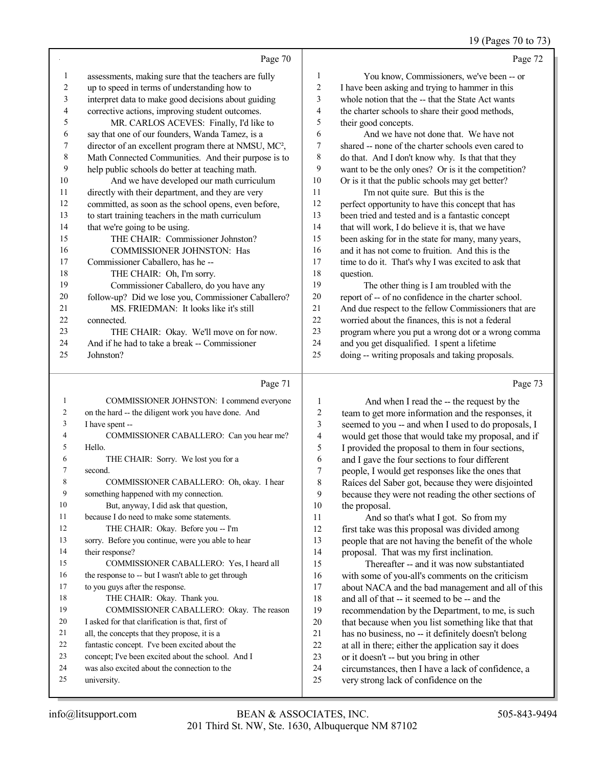#### 19 (Pages 70 to 73)

|    | Page 70                                                           |              | Page 72                                              |
|----|-------------------------------------------------------------------|--------------|------------------------------------------------------|
| 1  | assessments, making sure that the teachers are fully              | $\mathbf{1}$ | You know, Commissioners, we've been -- or            |
| 2  | up to speed in terms of understanding how to                      | 2            | I have been asking and trying to hammer in this      |
| 3  | interpret data to make good decisions about guiding               | 3            | whole notion that the -- that the State Act wants    |
| 4  | corrective actions, improving student outcomes.                   | 4            | the charter schools to share their good methods,     |
| 5  | MR. CARLOS ACEVES: Finally, I'd like to                           | 5            | their good concepts.                                 |
| 6  | say that one of our founders, Wanda Tamez, is a                   | 6            | And we have not done that. We have not               |
| 7  | director of an excellent program there at NMSU, MC <sup>2</sup> , | 7            | shared -- none of the charter schools even cared to  |
| 8  | Math Connected Communities. And their purpose is to               | 8            | do that. And I don't know why. Is that that they     |
| 9  | help public schools do better at teaching math.                   | 9            | want to be the only ones? Or is it the competition?  |
| 10 | And we have developed our math curriculum                         | 10           | Or is it that the public schools may get better?     |
| 11 | directly with their department, and they are very                 | 11           | I'm not quite sure. But this is the                  |
| 12 | committed, as soon as the school opens, even before,              | 12           | perfect opportunity to have this concept that has    |
| 13 | to start training teachers in the math curriculum                 | 13           | been tried and tested and is a fantastic concept     |
| 14 | that we're going to be using.                                     | 14           | that will work, I do believe it is, that we have     |
| 15 | THE CHAIR: Commissioner Johnston?                                 | 15           | been asking for in the state for many, many years,   |
| 16 | <b>COMMISSIONER JOHNSTON: Has</b>                                 | 16           | and it has not come to fruition. And this is the     |
| 17 | Commissioner Caballero, has he-                                   | 17           | time to do it. That's why I was excited to ask that  |
| 18 | THE CHAIR: Oh, I'm sorry.                                         | 18           | question.                                            |
| 19 | Commissioner Caballero, do you have any                           | 19           | The other thing is I am troubled with the            |
| 20 | follow-up? Did we lose you, Commissioner Caballero?               | 20           | report of -- of no confidence in the charter school. |
| 21 | MS. FRIEDMAN: It looks like it's still                            | 21           | And due respect to the fellow Commissioners that are |
| 22 | connected.                                                        | 22           | worried about the finances, this is not a federal    |
| 23 | THE CHAIR: Okay. We'll move on for now.                           | 23           | program where you put a wrong dot or a wrong comma   |
| 24 | And if he had to take a break -- Commissioner                     | 24           | and you get disqualified. I spent a lifetime         |
| 25 | Johnston?                                                         | 25           | doing -- writing proposals and taking proposals.     |
|    |                                                                   |              |                                                      |

#### Page 71

| 1              | COMMISSIONER JOHNSTON: I commend everyone           |
|----------------|-----------------------------------------------------|
| 2              | on the hard -- the diligent work you have done. And |
| 3              | I have spent --                                     |
| $\overline{4}$ | COMMISSIONER CABALLERO: Can you hear me?            |
| 5              | Hello.                                              |
| 6              | THE CHAIR: Sorry. We lost you for a                 |
| 7              | second.                                             |
| 8              | COMMISSIONER CABALLERO: Oh, okay. I hear            |
| 9              | something happened with my connection.              |
| 10             | But, anyway, I did ask that question,               |
| 11             | because I do need to make some statements.          |
| 12             | THE CHAIR: Okay. Before you -- I'm                  |
| 13             | sorry. Before you continue, were you able to hear   |
| 14             | their response?                                     |
| 15             | COMMISSIONER CABALLERO: Yes, I heard all            |
| 16             | the response to -- but I wasn't able to get through |
| 17             | to you guys after the response.                     |
| 18             | THE CHAIR: Okay. Thank you.                         |
| 19             | COMMISSIONER CABALLERO: Okay. The reason            |
| 20             | I asked for that clarification is that, first of    |
| 21             | all, the concepts that they propose, it is a        |
| 22             | fantastic concept. I've been excited about the      |
| 23             | concept: I've been excited about the school. And I  |
| 24             | was also excited about the connection to the        |
| 25             | university.                                         |
|                |                                                     |

1 And when I read the -- the request by the<br>2 team to get more information and the responses 2 team to get more information and the responses, it<br>3 seemed to you -- and when I used to do proposals. 3 seemed to you -- and when I used to do proposals, I<br>4 would get those that would take my proposal and if 4 would get those that would take my proposal, and if<br>5 I provided the proposal to them in four sections. 5 I provided the proposal to them in four sections,<br>6 and I gave the four sections to four different 6 and I gave the four sections to four different<br>
7 neople. I would get responses like the ones the people, I would get responses like the ones that 8 Raíces del Saber got, because they were disjointed<br>9 because they were not reading the other sections of 9 because they were not reading the other sections of 10 the proposal. 10 the proposal.<br>11 And so 11 And so that's what I got. So from my<br>12 first take was this proposal was divided amo 12 first take was this proposal was divided among<br>13 people that are not having the benefit of the wh 13 people that are not having the benefit of the whole<br>14 proposal. That was my first inclination. 14 proposal. That was my first inclination.<br>15 Thereafter -- and it was now subst Thereafter -- and it was now substantiated 16 with some of you-all's comments on the criticism<br>17 about NACA and the bad management and all of t 17 about NACA and the bad management and all of this<br>18 and all of that -- it seemed to be -- and the 18 and all of that -- it seemed to be -- and the recommendation by the Department, to me recommendation by the Department, to me, is such 20 that because when you list something like that that 21 has no business, no -- it definitely doesn't belong 21 has no business, no -- it definitely doesn't belong<br>22 at all in there: either the application say it does 22 at all in there; either the application say it does<br>
23 or it doesn't -- but you bring in other

- 23 or it doesn't -- but you bring in other<br>24 circumstances, then I have a lack of c
- 24 circumstances, then I have a lack of confidence, a<br>25 very strong lack of confidence on the
	- very strong lack of confidence on the

Page 73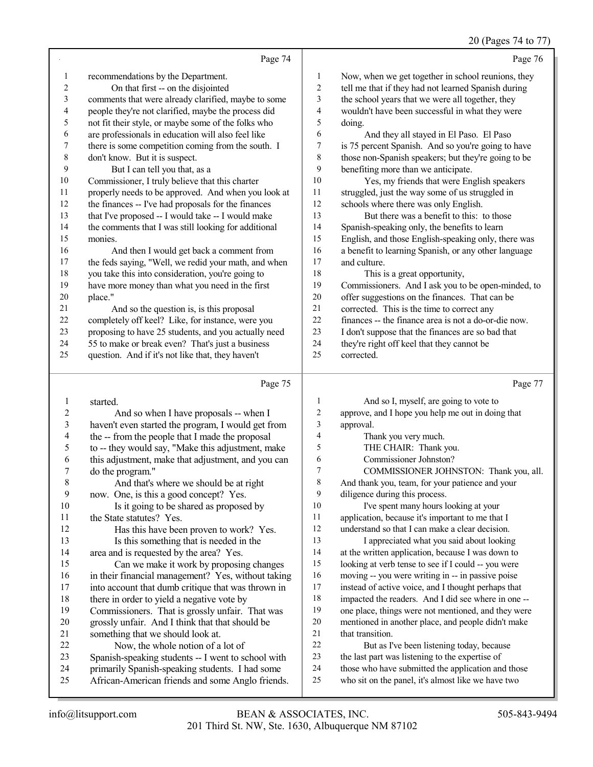# 20 (Pages 74 to 77)

|                | Page 74                                                                                               |                          | Page 76                                                                                      |
|----------------|-------------------------------------------------------------------------------------------------------|--------------------------|----------------------------------------------------------------------------------------------|
| 1              | recommendations by the Department.                                                                    | 1                        | Now, when we get together in school reunions, they                                           |
| $\sqrt{2}$     | On that first -- on the disjointed                                                                    | $\sqrt{2}$               | tell me that if they had not learned Spanish during                                          |
| 3              | comments that were already clarified, maybe to some                                                   | 3                        | the school years that we were all together, they                                             |
| 4              | people they're not clarified, maybe the process did                                                   | 4                        | wouldn't have been successful in what they were                                              |
| 5              | not fit their style, or maybe some of the folks who                                                   | 5                        | doing.                                                                                       |
| 6              | are professionals in education will also feel like                                                    | 6                        | And they all stayed in El Paso. El Paso                                                      |
| 7              | there is some competition coming from the south. I                                                    | 7                        | is 75 percent Spanish. And so you're going to have                                           |
| $\,$ $\,$      | don't know. But it is suspect.                                                                        | $\,$ 8 $\,$              | those non-Spanish speakers; but they're going to be                                          |
| 9              | But I can tell you that, as a                                                                         | 9                        | benefiting more than we anticipate.                                                          |
| 10             | Commissioner, I truly believe that this charter                                                       | 10                       | Yes, my friends that were English speakers                                                   |
| 11             | properly needs to be approved. And when you look at                                                   | 11                       | struggled, just the way some of us struggled in                                              |
| 12             | the finances -- I've had proposals for the finances                                                   | 12                       | schools where there was only English.                                                        |
| 13             | that I've proposed -- I would take -- I would make                                                    | 13                       | But there was a benefit to this: to those                                                    |
| 14             | the comments that I was still looking for additional                                                  | 14                       | Spanish-speaking only, the benefits to learn                                                 |
| 15             | monies.                                                                                               | 15                       | English, and those English-speaking only, there was                                          |
| 16             | And then I would get back a comment from                                                              | 16                       | a benefit to learning Spanish, or any other language                                         |
| 17             | the feds saying, "Well, we redid your math, and when                                                  | 17                       | and culture.                                                                                 |
| 18             | you take this into consideration, you're going to                                                     | 18                       | This is a great opportunity,                                                                 |
| 19             | have more money than what you need in the first                                                       | 19                       | Commissioners. And I ask you to be open-minded, to                                           |
| 20             | place."                                                                                               | $20\,$                   | offer suggestions on the finances. That can be                                               |
| 21             | And so the question is, is this proposal                                                              | 21                       | corrected. This is the time to correct any                                                   |
| $22\,$         | completely off keel? Like, for instance, were you                                                     | 22                       | finances -- the finance area is not a do-or-die now.                                         |
| 23             | proposing to have 25 students, and you actually need                                                  | 23                       | I don't suppose that the finances are so bad that                                            |
| 24             | 55 to make or break even? That's just a business                                                      | 24                       | they're right off keel that they cannot be                                                   |
| 25             | question. And if it's not like that, they haven't                                                     | 25                       | corrected.                                                                                   |
|                |                                                                                                       |                          |                                                                                              |
|                | Page 75                                                                                               |                          | Page 77                                                                                      |
| $\mathbf{1}$   | started.                                                                                              | $\mathbf{1}$             | And so I, myself, are going to vote to                                                       |
| $\overline{c}$ | And so when I have proposals -- when I                                                                | $\sqrt{2}$               | approve, and I hope you help me out in doing that                                            |
| $\mathfrak{Z}$ | haven't even started the program, I would get from                                                    | $\mathfrak{Z}$           | approval.                                                                                    |
| 4              | the -- from the people that I made the proposal                                                       | $\overline{\mathcal{A}}$ | Thank you very much.                                                                         |
| 5              | to -- they would say, "Make this adjustment, make                                                     | 5                        | THE CHAIR: Thank you.                                                                        |
| 6              | this adjustment, make that adjustment, and you can                                                    | 6                        | Commissioner Johnston?                                                                       |
| $\sqrt{ }$     | do the program."                                                                                      | 7                        | COMMISSIONER JOHNSTON: Thank you, all.                                                       |
| 8              | And that's where we should be at right                                                                | 8                        | And thank you, team, for your patience and your                                              |
| 9              | now. One, is this a good concept? Yes.                                                                | 9                        | diligence during this process.                                                               |
| $10\,$         | Is it going to be shared as proposed by                                                               | 10                       | I've spent many hours looking at your                                                        |
| 11             | the State statutes? Yes.                                                                              | 11                       | application, because it's important to me that I                                             |
| 12             | Has this have been proven to work? Yes.                                                               | 12                       | understand so that I can make a clear decision.                                              |
| 13             | Is this something that is needed in the                                                               | 13                       | I appreciated what you said about looking                                                    |
| 14             | area and is requested by the area? Yes.                                                               | 14                       | at the written application, because I was down to                                            |
| 15             | Can we make it work by proposing changes                                                              | 15                       | looking at verb tense to see if I could -- you were                                          |
| 16             | in their financial management? Yes, without taking                                                    | 16                       | moving -- you were writing in -- in passive poise                                            |
| 17             | into account that dumb critique that was thrown in                                                    | 17                       | instead of active voice, and I thought perhaps that                                          |
| 18             | there in order to yield a negative vote by                                                            | 18                       | impacted the readers. And I did see where in one --                                          |
| 19             | Commissioners. That is grossly unfair. That was                                                       | 19<br>20                 | one place, things were not mentioned, and they were                                          |
| 20<br>21       | grossly unfair. And I think that that should be                                                       | $21\,$                   | mentioned in another place, and people didn't make<br>that transition.                       |
| 22             | something that we should look at.                                                                     | $22\,$                   |                                                                                              |
| 23             | Now, the whole notion of a lot of                                                                     | 23                       | But as I've been listening today, because<br>the last part was listening to the expertise of |
| 24             | Spanish-speaking students -- I went to school with<br>primarily Spanish-speaking students. I had some | 24                       | those who have submitted the application and those                                           |
| 25             | African-American friends and some Anglo friends.                                                      | 25                       | who sit on the panel, it's almost like we have two                                           |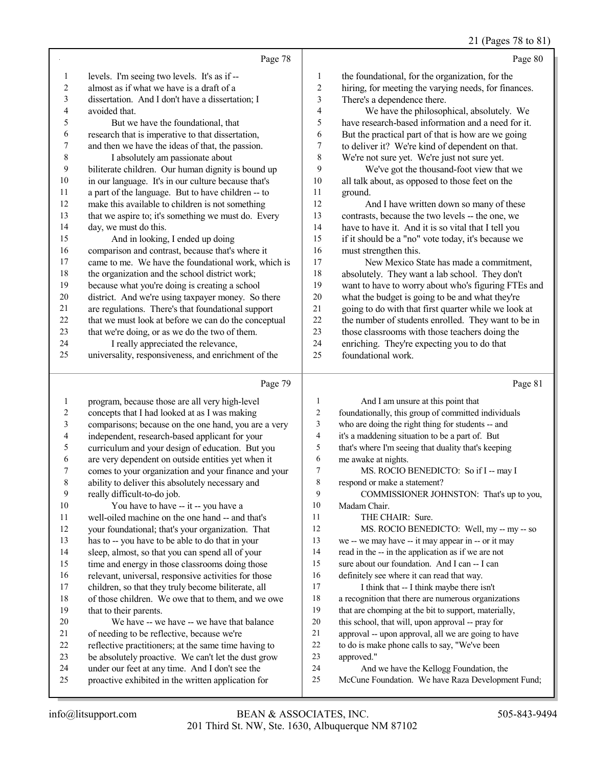# 21 (Pages 78 to 81)

|    | Page 78                                              |                | Page 80                                              |
|----|------------------------------------------------------|----------------|------------------------------------------------------|
| -1 | levels. I'm seeing two levels. It's as if --         | 1              | the foundational, for the organization, for the      |
| 2  | almost as if what we have is a draft of a            | 2              | hiring, for meeting the varying needs, for finances. |
| 3  | dissertation. And I don't have a dissertation; I     | 3              | There's a dependence there.                          |
| 4  | avoided that.                                        | $\overline{4}$ | We have the philosophical, absolutely. We            |
| 5  | But we have the foundational, that                   | 5              | have research-based information and a need for it.   |
| 6  | research that is imperative to that dissertation,    | 6              | But the practical part of that is how are we going   |
| 7  | and then we have the ideas of that, the passion.     | 7              | to deliver it? We're kind of dependent on that.      |
| 8  | I absolutely am passionate about                     | 8              | We're not sure yet. We're just not sure yet.         |
| 9  | biliterate children. Our human dignity is bound up   | 9              | We've got the thousand-foot view that we             |
| 10 | in our language. It's in our culture because that's  | 10             | all talk about, as opposed to those feet on the      |
| 11 | a part of the language. But to have children -- to   | 11             | ground.                                              |
| 12 | make this available to children is not something     | 12             | And I have written down so many of these             |
| 13 | that we aspire to; it's something we must do. Every  | 13             | contrasts, because the two levels -- the one, we     |
| 14 | day, we must do this.                                | 14             | have to have it. And it is so vital that I tell you  |
| 15 | And in looking, I ended up doing                     | 15             | if it should be a "no" vote today, it's because we   |
| 16 | comparison and contrast, because that's where it     | 16             | must strengthen this.                                |
| 17 | came to me. We have the foundational work, which is  | 17             | New Mexico State has made a commitment,              |
| 18 | the organization and the school district work;       | 18             | absolutely. They want a lab school. They don't       |
| 19 | because what you're doing is creating a school       | 19             | want to have to worry about who's figuring FTEs and  |
| 20 | district. And we're using taxpayer money. So there   | 20             | what the budget is going to be and what they're      |
| 21 | are regulations. There's that foundational support   | 21             | going to do with that first quarter while we look at |
| 22 | that we must look at before we can do the conceptual | 22             | the number of students enrolled. They want to be in  |
| 23 | that we're doing, or as we do the two of them.       | 23             | those classrooms with those teachers doing the       |
| 24 | I really appreciated the relevance,                  | 24             | enriching. They're expecting you to do that          |
| 25 | universality, responsiveness, and enrichment of the  | 25             | foundational work.                                   |
|    | Page 79                                              |                | Page 81                                              |

|         | rage 19                                              |                | rage of                                              |
|---------|------------------------------------------------------|----------------|------------------------------------------------------|
| 1       | program, because those are all very high-level       |                | And I am unsure at this point that                   |
| 2       | concepts that I had looked at as I was making        | 2              | foundationally, this group of committed individuals  |
| 3       | comparisons; because on the one hand, you are a very | 3              | who are doing the right thing for students -- and    |
| 4       | independent, research-based applicant for your       | $\overline{4}$ | it's a maddening situation to be a part of. But      |
| 5       | curriculum and your design of education. But you     | 5              | that's where I'm seeing that duality that's keeping  |
| 6       | are very dependent on outside entities yet when it   | 6              | me awake at nights.                                  |
| 7       | comes to your organization and your finance and your | 7              | MS. ROCIO BENEDICTO: So if I -- may I                |
| $\,8\,$ | ability to deliver this absolutely necessary and     | $\,8\,$        | respond or make a statement?                         |
| 9       | really difficult-to-do job.                          | 9              | COMMISSIONER JOHNSTON: That's up to you,             |
| 10      | You have to have -- it -- you have a                 | 10             | Madam Chair.                                         |
| 11      | well-oiled machine on the one hand -- and that's     | 11             | THE CHAIR: Sure.                                     |
| 12      | your foundational; that's your organization. That    | 12             | MS. ROCIO BENEDICTO: Well, my -- my -- so            |
| 13      | has to -- you have to be able to do that in your     | 13             | we -- we may have -- it may appear in -- or it may   |
| 14      | sleep, almost, so that you can spend all of your     | 14             | read in the -- in the application as if we are not   |
| 15      | time and energy in those classrooms doing those      | 15             | sure about our foundation. And I can -- I can        |
| 16      | relevant, universal, responsive activities for those | 16             | definitely see where it can read that way.           |
| 17      | children, so that they truly become biliterate, all  | 17             | I think that -- I think maybe there isn't            |
| 18      | of those children. We owe that to them, and we owe   | 18             | a recognition that there are numerous organizations  |
| 19      | that to their parents.                               | 19             | that are chomping at the bit to support, materially, |
| 20      | We have -- we have -- we have that balance           | 20             | this school, that will, upon approval -- pray for    |
| 21      | of needing to be reflective, because we're           | 21             | approval -- upon approval, all we are going to have  |
| 22      | reflective practitioners; at the same time having to | 22             | to do is make phone calls to say, "We've been        |
| 23      | be absolutely proactive. We can't let the dust grow  | 23             | approved."                                           |
| 24      | under our feet at any time. And I don't see the      | 24             | And we have the Kellogg Foundation, the              |
| 25      | proactive exhibited in the written application for   | 25             | McCune Foundation. We have Raza Development Fund;    |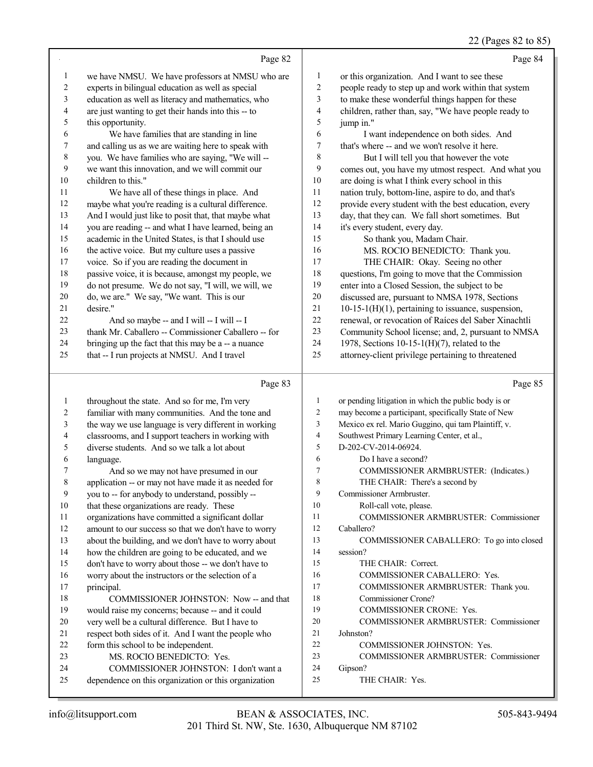#### 22 (Pages 82 to 85)

|                | Page 82                                                                                    |                          | Page 84                                                            |
|----------------|--------------------------------------------------------------------------------------------|--------------------------|--------------------------------------------------------------------|
| $\mathbf{1}$   | we have NMSU. We have professors at NMSU who are                                           | $\mathbf{1}$             | or this organization. And I want to see these                      |
| $\overline{c}$ | experts in bilingual education as well as special                                          | $\overline{c}$           | people ready to step up and work within that system                |
| 3              | education as well as literacy and mathematics, who                                         | 3                        | to make these wonderful things happen for these                    |
| $\overline{4}$ | are just wanting to get their hands into this -- to                                        | $\overline{\mathcal{A}}$ | children, rather than, say, "We have people ready to               |
| 5              | this opportunity.                                                                          | $\sqrt{5}$               | jump in."                                                          |
| 6              | We have families that are standing in line                                                 | 6                        | I want independence on both sides. And                             |
| 7              | and calling us as we are waiting here to speak with                                        | $\boldsymbol{7}$         | that's where -- and we won't resolve it here.                      |
| $\,$ 8 $\,$    | you. We have families who are saying, "We will --                                          | $\,$ 8 $\,$              | But I will tell you that however the vote                          |
| 9              | we want this innovation, and we will commit our                                            | 9                        | comes out, you have my utmost respect. And what you                |
| $10\,$         | children to this."                                                                         | $10\,$                   | are doing is what I think every school in this                     |
| $1\,1$         | We have all of these things in place. And                                                  | 11                       | nation truly, bottom-line, aspire to do, and that's                |
| 12             | maybe what you're reading is a cultural difference.                                        | 12                       | provide every student with the best education, every               |
| 13             | And I would just like to posit that, that maybe what                                       | 13                       | day, that they can. We fall short sometimes. But                   |
| $14\,$         | you are reading -- and what I have learned, being an                                       | 14                       | it's every student, every day.                                     |
| 15             | academic in the United States, is that I should use                                        | 15                       | So thank you, Madam Chair.                                         |
| 16             | the active voice. But my culture uses a passive                                            | 16                       | MS. ROCIO BENEDICTO: Thank you.                                    |
| 17             | voice. So if you are reading the document in                                               | $17\,$                   | THE CHAIR: Okay. Seeing no other                                   |
| $18\,$         | passive voice, it is because, amongst my people, we                                        | $18\,$                   | questions, I'm going to move that the Commission                   |
| 19             | do not presume. We do not say, "I will, we will, we                                        | 19                       | enter into a Closed Session, the subject to be                     |
| $20\,$         | do, we are." We say, "We want. This is our                                                 | $20\,$                   | discussed are, pursuant to NMSA 1978, Sections                     |
| 21             | desire."                                                                                   | $21\,$                   | 10-15-1(H)(1), pertaining to issuance, suspension,                 |
| $22\,$         | And so maybe -- and I will -- I will -- I                                                  | $22\,$                   | renewal, or revocation of Raíces del Saber Xinachtli               |
| 23             | thank Mr. Caballero -- Commissioner Caballero -- for                                       | 23                       | Community School license; and, 2, pursuant to NMSA                 |
| 24             | bringing up the fact that this may be a -- a nuance                                        | 24                       | 1978, Sections 10-15-1(H)(7), related to the                       |
| 25             | that -- I run projects at NMSU. And I travel                                               | $25\,$                   | attorney-client privilege pertaining to threatened                 |
|                | Page 83                                                                                    |                          | Page 85                                                            |
| $\mathbf{1}$   | throughout the state. And so for me, I'm very                                              |                          |                                                                    |
|                |                                                                                            |                          |                                                                    |
|                |                                                                                            | $\mathbf{1}$             | or pending litigation in which the public body is or               |
| $\sqrt{2}$     | familiar with many communities. And the tone and                                           | $\boldsymbol{2}$         | may become a participant, specifically State of New                |
| $\mathfrak{Z}$ | the way we use language is very different in working                                       | 3<br>4                   | Mexico ex rel. Mario Guggino, qui tam Plaintiff, v.                |
| $\overline{4}$ | classrooms, and I support teachers in working with                                         | 5                        | Southwest Primary Learning Center, et al.,<br>D-202-CV-2014-06924. |
| 5<br>6         | diverse students. And so we talk a lot about<br>language.                                  | 6                        | Do I have a second?                                                |
| 7              | And so we may not have presumed in our                                                     | 7                        | COMMISSIONER ARMBRUSTER: (Indicates.)                              |
| $\,8\,$        | application -- or may not have made it as needed for                                       | $\,$ $\,$                | THE CHAIR: There's a second by                                     |
| 9              | you to -- for anybody to understand, possibly --                                           | 9                        | Commissioner Armbruster.                                           |
| 10             | that these organizations are ready. These                                                  | 10                       | Roll-call vote, please.                                            |
| 11             | organizations have committed a significant dollar                                          | 11                       | COMMISSIONER ARMBRUSTER: Commissioner                              |
| 12             | amount to our success so that we don't have to worry                                       | 12                       | Caballero?                                                         |
| 13             | about the building, and we don't have to worry about                                       | 13                       | COMMISSIONER CABALLERO: To go into closed                          |
| 14             | how the children are going to be educated, and we                                          | 14                       | session?                                                           |
| 15             | don't have to worry about those -- we don't have to                                        | 15                       | THE CHAIR: Correct.                                                |
| 16             | worry about the instructors or the selection of a                                          | 16                       | COMMISSIONER CABALLERO: Yes.                                       |
| 17             | principal.                                                                                 | 17                       | COMMISSIONER ARMBRUSTER: Thank you.                                |
| $18\,$         | COMMISSIONER JOHNSTON: Now -- and that                                                     | 18                       | Commissioner Crone?                                                |
| 19             | would raise my concerns; because -- and it could                                           | 19                       | COMMISSIONER CRONE: Yes.                                           |
| 20             | very well be a cultural difference. But I have to                                          | 20                       | COMMISSIONER ARMBRUSTER: Commissioner                              |
| 21<br>22       | respect both sides of it. And I want the people who<br>form this school to be independent. | 21<br>$22\,$             | Johnston?                                                          |

- 22 COMMISSIONER JOHNSTON: Yes.<br>23 COMMISSIONER ARMBRUSTER:
	- COMMISSIONER ARMBRUSTER: Commissioner
- Gipson?
- 25 THE CHAIR: Yes.

MS. ROCIO BENEDICTO: Yes.

 COMMISSIONER JOHNSTON: I don't want a dependence on this organization or this organization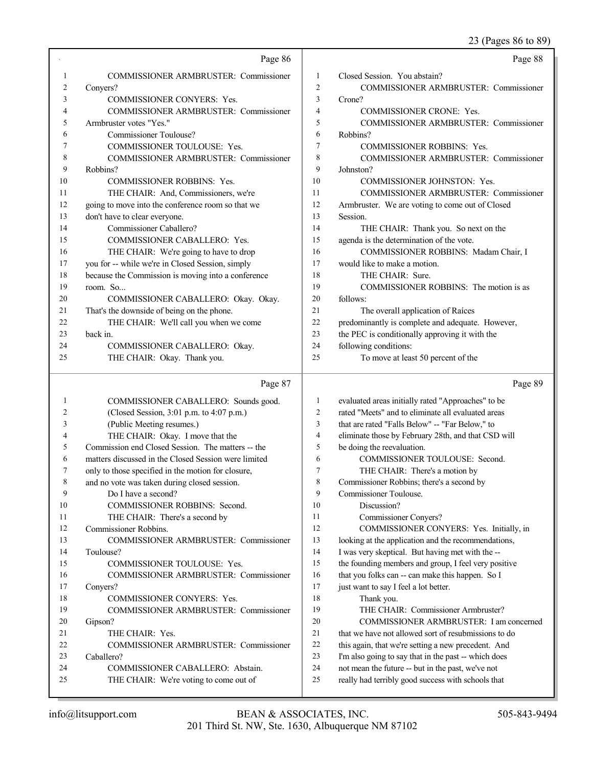23 (Pages 86 to 89)

|          | Page 86                                                                    |                | Page 88                                                                                                 |
|----------|----------------------------------------------------------------------------|----------------|---------------------------------------------------------------------------------------------------------|
| 1        | <b>COMMISSIONER ARMBRUSTER: Commissioner</b>                               | 1              | Closed Session. You abstain?                                                                            |
| 2        | Conyers?                                                                   | $\mathfrak{2}$ | COMMISSIONER ARMBRUSTER: Commissioner                                                                   |
| 3        | COMMISSIONER CONYERS: Yes.                                                 | 3              | Crone?                                                                                                  |
| 4        | COMMISSIONER ARMBRUSTER: Commissioner                                      | 4              | COMMISSIONER CRONE: Yes.                                                                                |
| 5        | Armbruster votes "Yes."                                                    | 5              | COMMISSIONER ARMBRUSTER: Commissioner                                                                   |
| 6        | <b>Commissioner Toulouse?</b>                                              | 6              | Robbins?                                                                                                |
| 7        | COMMISSIONER TOULOUSE: Yes.                                                | 7              | COMMISSIONER ROBBINS: Yes.                                                                              |
| 8        | <b>COMMISSIONER ARMBRUSTER: Commissioner</b>                               | 8              | COMMISSIONER ARMBRUSTER: Commissioner                                                                   |
| 9        | Robbins?                                                                   | 9              | Johnston?                                                                                               |
| 10       | <b>COMMISSIONER ROBBINS: Yes.</b>                                          | 10             | COMMISSIONER JOHNSTON: Yes.                                                                             |
| 11       | THE CHAIR: And, Commissioners, we're                                       | 11             | COMMISSIONER ARMBRUSTER: Commissioner                                                                   |
| 12       | going to move into the conference room so that we                          | 12             | Armbruster. We are voting to come out of Closed                                                         |
| 13       | don't have to clear everyone.                                              | 13             | Session.                                                                                                |
| 14       | Commissioner Caballero?                                                    | 14             | THE CHAIR: Thank you. So next on the                                                                    |
| 15       | COMMISSIONER CABALLERO: Yes.                                               | 15             | agenda is the determination of the vote.                                                                |
| 16       | THE CHAIR: We're going to have to drop                                     | 16             | COMMISSIONER ROBBINS: Madam Chair, I                                                                    |
| 17       | you for -- while we're in Closed Session, simply                           | 17             | would like to make a motion.                                                                            |
| 18       | because the Commission is moving into a conference                         | 18             | THE CHAIR: Sure.                                                                                        |
| 19       | room. So                                                                   | 19             | COMMISSIONER ROBBINS: The motion is as                                                                  |
| $20\,$   | COMMISSIONER CABALLERO: Okay. Okay.                                        | 20             | follows:                                                                                                |
| 21       | That's the downside of being on the phone.                                 | 21             | The overall application of Raíces                                                                       |
| 22       | THE CHAIR: We'll call you when we come                                     | 22             | predominantly is complete and adequate. However,                                                        |
| 23       | back in.                                                                   | 23             | the PEC is conditionally approving it with the                                                          |
| 24       | COMMISSIONER CABALLERO: Okay.                                              | 24             | following conditions:                                                                                   |
| 25       | THE CHAIR: Okay. Thank you.                                                | 25             | To move at least 50 percent of the                                                                      |
|          |                                                                            |                |                                                                                                         |
|          |                                                                            |                |                                                                                                         |
|          | Page 87                                                                    |                | Page 89                                                                                                 |
| 1        | COMMISSIONER CABALLERO: Sounds good.                                       | 1              | evaluated areas initially rated "Approaches" to be                                                      |
| 2        | (Closed Session, 3:01 p.m. to 4:07 p.m.)                                   | $\overline{c}$ | rated "Meets" and to eliminate all evaluated areas                                                      |
| 3        | (Public Meeting resumes.)                                                  | 3              | that are rated "Falls Below" -- "Far Below," to                                                         |
| 4        | THE CHAIR: Okay. I move that the                                           | $\overline{4}$ | eliminate those by February 28th, and that CSD will                                                     |
| 5        | Commission end Closed Session. The matters -- the                          | 5              | be doing the reevaluation.                                                                              |
| 6        | matters discussed in the Closed Session were limited                       | 6              | COMMISSIONER TOULOUSE: Second.                                                                          |
| 7        | only to those specified in the motion for closure,                         | 7              | THE CHAIR: There's a motion by                                                                          |
|          | and no vote was taken during closed session.                               | 8              | Commissioner Robbins; there's a second by                                                               |
| 9        | Do I have a second?                                                        | 9              | Commissioner Toulouse.                                                                                  |
| 10       | COMMISSIONER ROBBINS: Second.                                              | 10             | Discussion?                                                                                             |
| 11       | THE CHAIR: There's a second by                                             | 11             | Commissioner Conyers?                                                                                   |
| 12       | Commissioner Robbins.                                                      | 12             | COMMISSIONER CONYERS: Yes. Initially, in                                                                |
| 13       | COMMISSIONER ARMBRUSTER: Commissioner                                      | 13             | looking at the application and the recommendations,                                                     |
| 14       | Toulouse?                                                                  | 14             | I was very skeptical. But having met with the --                                                        |
| 15       | COMMISSIONER TOULOUSE: Yes.                                                | 15             | the founding members and group, I feel very positive                                                    |
| 16       | COMMISSIONER ARMBRUSTER: Commissioner                                      | 16             | that you folks can -- can make this happen. So I                                                        |
| 17       | Conyers?                                                                   | 17             | just want to say I feel a lot better.                                                                   |
| 18       | <b>COMMISSIONER CONYERS: Yes.</b>                                          | 18             | Thank you.                                                                                              |
| 19       | COMMISSIONER ARMBRUSTER: Commissioner                                      | 19             | THE CHAIR: Commissioner Armbruster?                                                                     |
| 20       | Gipson?                                                                    | 20             | COMMISSIONER ARMBRUSTER: I am concerned                                                                 |
| 21       | THE CHAIR: Yes.                                                            | 21             | that we have not allowed sort of resubmissions to do                                                    |
| 22       | COMMISSIONER ARMBRUSTER: Commissioner                                      | 22             | this again, that we're setting a new precedent. And                                                     |
| 23       | Caballero?                                                                 | 23             | I'm also going to say that in the past -- which does                                                    |
| 24<br>25 | COMMISSIONER CABALLERO: Abstain.<br>THE CHAIR: We're voting to come out of | 24<br>25       | not mean the future -- but in the past, we've not<br>really had terribly good success with schools that |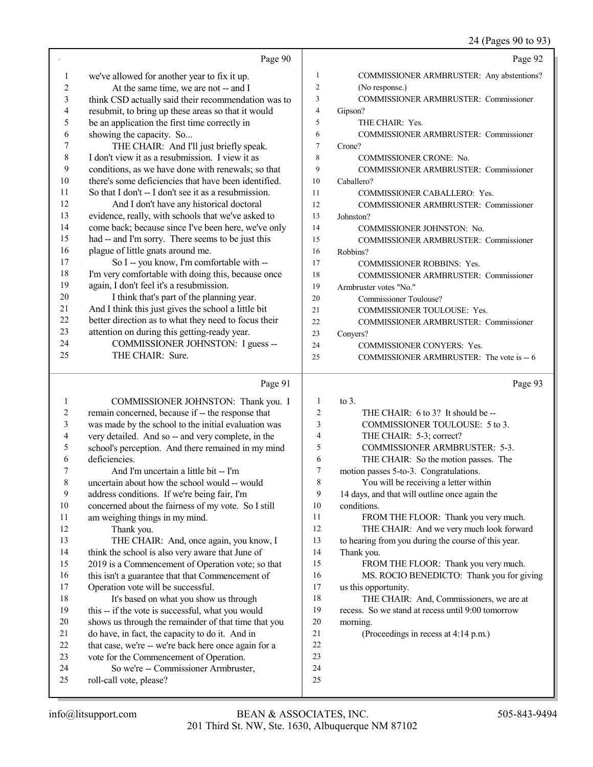#### 24 (Pages 90 to 93)

|    | Page 90                                              |                | Page 92                                      |
|----|------------------------------------------------------|----------------|----------------------------------------------|
| 1  | we've allowed for another year to fix it up.         | 1              | COMMISSIONER ARMBRUSTER: Any abstentions?    |
| 2  | At the same time, we are not -- and I                | $\overline{c}$ | (No response.)                               |
| 3  | think CSD actually said their recommendation was to  | 3              | COMMISSIONER ARMBRUSTER: Commissioner        |
|    |                                                      | $\overline{4}$ |                                              |
| 4  | resubmit, to bring up these areas so that it would   | 5              | Gipson?<br>THE CHAIR: Yes.                   |
| 5  | be an application the first time correctly in        |                |                                              |
| 6  | showing the capacity. So                             | 6              | <b>COMMISSIONER ARMBRUSTER: Commissioner</b> |
| 7  | THE CHAIR: And I'll just briefly speak.              | $\tau$         | Crone?                                       |
| 8  | I don't view it as a resubmission. I view it as      | 8              | <b>COMMISSIONER CRONE: No.</b>               |
| 9  | conditions, as we have done with renewals; so that   | 9              | <b>COMMISSIONER ARMBRUSTER: Commissioner</b> |
| 10 | there's some deficiencies that have been identified. | 10             | Caballero?                                   |
| 11 | So that I don't -- I don't see it as a resubmission. | 11             | COMMISSIONER CABALLERO: Yes.                 |
| 12 | And I don't have any historical doctoral             | 12             | <b>COMMISSIONER ARMBRUSTER: Commissioner</b> |
| 13 | evidence, really, with schools that we've asked to   | 13             | Johnston?                                    |
| 14 | come back; because since I've been here, we've only  | 14             | COMMISSIONER JOHNSTON: No.                   |
| 15 | had -- and I'm sorry. There seems to be just this    | 15             | COMMISSIONER ARMBRUSTER: Commissioner        |
| 16 | plague of little gnats around me.                    | 16             | Robbins?                                     |
| 17 | So I -- you know, I'm comfortable with --            | 17             | <b>COMMISSIONER ROBBINS: Yes.</b>            |
| 18 | I'm very comfortable with doing this, because once   | 18             | <b>COMMISSIONER ARMBRUSTER: Commissioner</b> |
| 19 | again, I don't feel it's a resubmission.             | 19             | Armbruster votes "No."                       |
| 20 | I think that's part of the planning year.            | 20             | Commissioner Toulouse?                       |
| 21 | And I think this just gives the school a little bit  | 21             | COMMISSIONER TOULOUSE: Yes.                  |
| 22 | better direction as to what they need to focus their | 22             | COMMISSIONER ARMBRUSTER: Commissioner        |
| 23 | attention on during this getting-ready year.         | 23             | Conyers?                                     |
| 24 | COMMISSIONER JOHNSTON: I guess --                    | 24             | <b>COMMISSIONER CONYERS: Yes.</b>            |
| 25 | THE CHAIR: Sure.                                     | 25             | COMMISSIONER ARMBRUSTER: The vote is -- 6    |
|    |                                                      |                |                                              |
|    | Page 91                                              |                | Page 93                                      |
| 1  | COMMISSIONER JOHNSTON: Thank you. I                  | -1             | to $3$ .                                     |
| 2  | remain concerned, because if -- the response that    | 2              | THE CHAIR: 6 to 3? It should be --           |
| 3  | was made by the school to the initial evaluation was | 3              | COMMISSIONER TOULOUSE: 5 to 3.               |
| 4  | very detailed. And so -- and very complete, in the   | 4              | THE CHAIR: 5-3; correct?                     |

- very detailed. And so -- and very complete, in the school's perception. And there remained in my mind
- deficiencies.
- 7 And I'm uncertain a little bit -- I'm<br>8 uncertain about how the school would -uncertain about how the school would -- would
- 
- 9 address conditions. If we're being fair, I'm<br>10 concerned about the fairness of my vote. So 10 concerned about the fairness of my vote. So I still<br>11 am weighing things in my mind. am weighing things in my mind. Thank you.
- 13 THE CHAIR: And, once again, you know, I 14 think the school is also very aware that June of
- 2019 is a Commencement of Operation vote; so that
- 16 this isn't a guarantee that that Commencement of 17 Operation vote will be successful.
- Operation vote will be successful. 18 It's based on what you show us through<br>19 this -- if the vote is successful, what you would this -- if the vote is successful, what you would 20 shows us through the remainder of that time that you do have, in fact, the capacity to do it. And in
- 21 do have, in fact, the capacity to do it. And in<br>22 that case, we're -- we're back here once again
- 22 that case, we're -- we're back here once again for a<br>23 vote for the Commencement of Operation. vote for the Commencement of Operation.
- 24 So we're -- Commissioner Armbruster,<br>25 roll-call vote, please? roll-call vote, please?

 THE CHAIR: And we very much look forward to hearing from you during the course of this year.

FROM THE FLOOR: Thank you very much.

 COMMISSIONER ARMBRUSTER: 5-3. THE CHAIR: So the motion passes. The

 motion passes 5-to-3. Congratulations. You will be receiving a letter within 14 days, and that will outline once again the

Thank you.

conditions.

- FROM THE FLOOR: Thank you very much.
- MS. ROCIO BENEDICTO: Thank you for giving us this opportunity. 18 THE CHAIR: And, Commissioners, we are at
- recess. So we stand at recess until 9:00 tomorrow morning.
- (Proceedings in recess at 4:14 p.m.)
- 
- 
- 
-